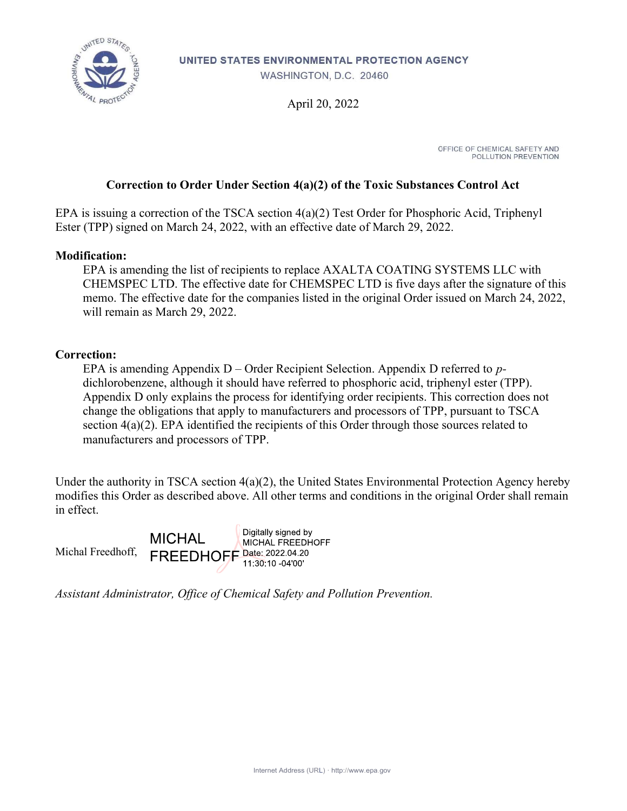

UNITED STATES ENVIRONMENTAL PROTECTION AGENCY

WASHINGTON, D.C. 20460

April 20, 2022

OFFICE OF CHEMICAL SAFETY AND POLLUTION PREVENTION

#### Correction to Order Under Section 4(a)(2) of the Toxic Substances Control Act

EPA is issuing a correction of the TSCA section 4(a)(2) Test Order for Phosphoric Acid, Triphenyl Ester (TPP) signed on March 24, 2022, with an effective date of March 29, 2022.

#### Modification:

EPA is amending the list of recipients to replace AXALTA COATING SYSTEMS LLC with CHEMSPEC LTD. The effective date for CHEMSPEC LTD is five days after the signature of this memo. The effective date for the companies listed in the original Order issued on March 24, 2022, will remain as March 29, 2022.

#### Correction:

EPA is amending Appendix  $D -$ Order Recipient Selection. Appendix D referred to pdichlorobenzene, although it should have referred to phosphoric acid, triphenyl ester (TPP). Appendix D only explains the process for identifying order recipients. This correction does not change the obligations that apply to manufacturers and processors of TPP, pursuant to TSCA section  $4(a)(2)$ . EPA identified the recipients of this Order through those sources related to manufacturers and processors of TPP.

Under the authority in TSCA section 4(a)(2), the United States Environmental Protection Agency hereby modifies this Order as described above. All other terms and conditions in the original Order shall remain in effect.

Digitally signed by **MICHAL MICHAL FREEDHOFF** FREEDHOFF Date: 2022.04.20 Michal Freedhoff, 11:30:10 -04'00'

Assistant Administrator, Office of Chemical Safety and Pollution Prevention.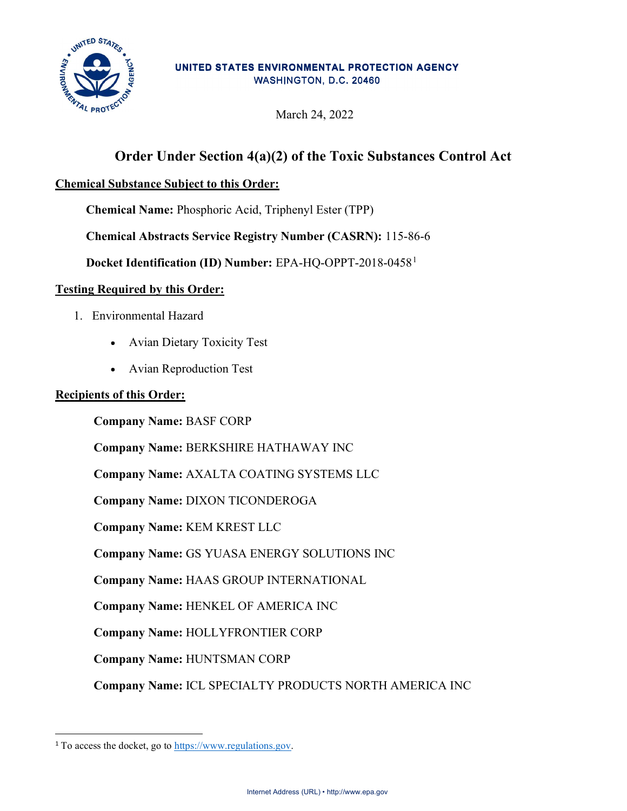

#### UNITED STATES ENVIRONMENTAL PROTECTION AGENCY WASHINGTON, D.C. 20460

March 24, 2022

# Order Under Section 4(a)(2) of the Toxic Substances Control Act

### Chemical Substance Subject to this Order:

Chemical Name: Phosphoric Acid, Triphenyl Ester (TPP)

Chemical Abstracts Service Registry Number (CASRN): 115-86-6

Docket Identification (ID) Number: EPA-HQ-OPPT-2018-0458<sup>1</sup>

#### Testing Required by this Order:

- 1. Environmental Hazard
	- Avian Dietary Toxicity Test
	- Avian Reproduction Test

#### Recipients of this Order:

Company Name: BASF CORP

Company Name: BERKSHIRE HATHAWAY INC

Company Name: AXALTA COATING SYSTEMS LLC

Company Name: DIXON TICONDEROGA

Company Name: KEM KREST LLC

Company Name: GS YUASA ENERGY SOLUTIONS INC

Company Name: HAAS GROUP INTERNATIONAL

Company Name: HENKEL OF AMERICA INC

Company Name: HOLLYFRONTIER CORP

Company Name: HUNTSMAN CORP

Company Name: ICL SPECIALTY PRODUCTS NORTH AMERICA INC

<sup>&</sup>lt;sup>1</sup> To access the docket, go to https://www.regulations.gov.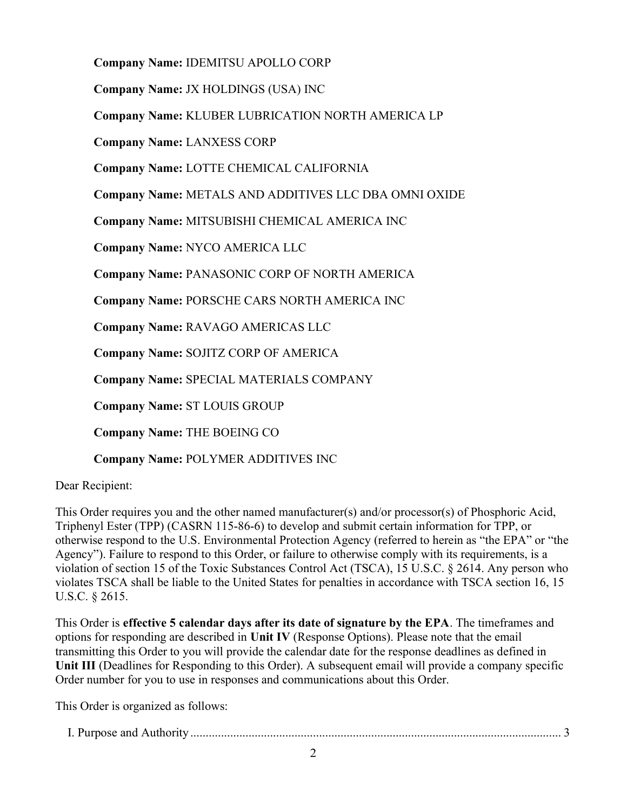Company Name: IDEMITSU APOLLO CORP

Company Name: JX HOLDINGS (USA) INC

Company Name: KLUBER LUBRICATION NORTH AMERICA LP

Company Name: LANXESS CORP

Company Name: LOTTE CHEMICAL CALIFORNIA

Company Name: METALS AND ADDITIVES LLC DBA OMNI OXIDE

Company Name: MITSUBISHI CHEMICAL AMERICA INC

Company Name: NYCO AMERICA LLC

Company Name: PANASONIC CORP OF NORTH AMERICA

Company Name: PORSCHE CARS NORTH AMERICA INC

Company Name: RAVAGO AMERICAS LLC

Company Name: SOJITZ CORP OF AMERICA

Company Name: SPECIAL MATERIALS COMPANY

Company Name: ST LOUIS GROUP

Company Name: THE BOEING CO

Company Name: POLYMER ADDITIVES INC

Dear Recipient:

This Order requires you and the other named manufacturer(s) and/or processor(s) of Phosphoric Acid, Triphenyl Ester (TPP) (CASRN 115-86-6) to develop and submit certain information for TPP, or otherwise respond to the U.S. Environmental Protection Agency (referred to herein as "the EPA" or "the Agency"). Failure to respond to this Order, or failure to otherwise comply with its requirements, is a violation of section 15 of the Toxic Substances Control Act (TSCA), 15 U.S.C. § 2614. Any person who violates TSCA shall be liable to the United States for penalties in accordance with TSCA section 16, 15 U.S.C. § 2615.

This Order is effective 5 calendar days after its date of signature by the EPA. The timeframes and options for responding are described in Unit IV (Response Options). Please note that the email transmitting this Order to you will provide the calendar date for the response deadlines as defined in Unit III (Deadlines for Responding to this Order). A subsequent email will provide a company specific Order number for you to use in responses and communications about this Order.

This Order is organized as follows:

| $T$ T<br>I. Purpose and Authority. |  |  |
|------------------------------------|--|--|
|------------------------------------|--|--|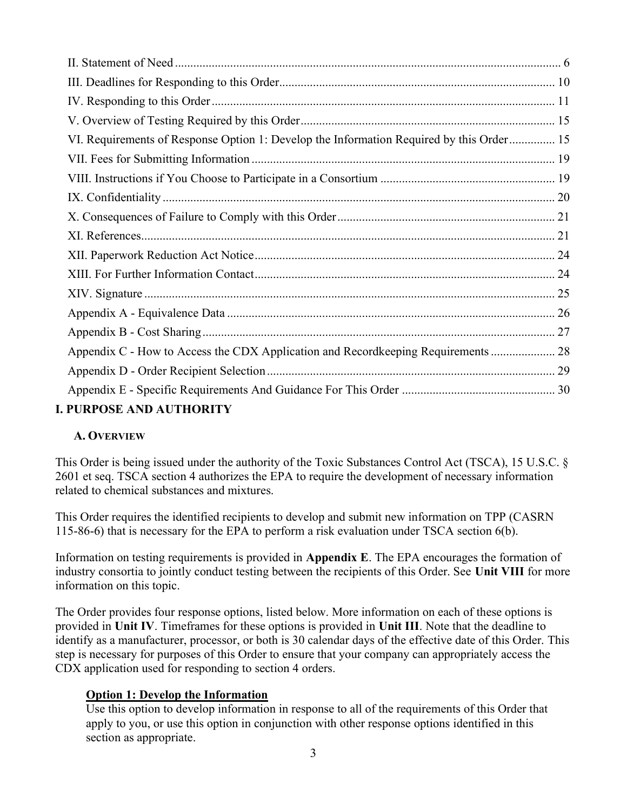| VI. Requirements of Response Option 1: Develop the Information Required by this Order 15 |  |
|------------------------------------------------------------------------------------------|--|
|                                                                                          |  |
|                                                                                          |  |
|                                                                                          |  |
|                                                                                          |  |
|                                                                                          |  |
|                                                                                          |  |
|                                                                                          |  |
|                                                                                          |  |
|                                                                                          |  |
|                                                                                          |  |
| Appendix C - How to Access the CDX Application and Recordkeeping Requirements  28        |  |
|                                                                                          |  |
|                                                                                          |  |
| <b>I. PURPOSE AND AUTHORITY</b>                                                          |  |

# A. OVERVIEW

This Order is being issued under the authority of the Toxic Substances Control Act (TSCA), 15 U.S.C. § 2601 et seq. TSCA section 4 authorizes the EPA to require the development of necessary information related to chemical substances and mixtures.

This Order requires the identified recipients to develop and submit new information on TPP (CASRN 115-86-6) that is necessary for the EPA to perform a risk evaluation under TSCA section 6(b).

Information on testing requirements is provided in Appendix E. The EPA encourages the formation of industry consortia to jointly conduct testing between the recipients of this Order. See Unit VIII for more information on this topic.

The Order provides four response options, listed below. More information on each of these options is provided in Unit IV. Timeframes for these options is provided in Unit III. Note that the deadline to identify as a manufacturer, processor, or both is 30 calendar days of the effective date of this Order. This step is necessary for purposes of this Order to ensure that your company can appropriately access the CDX application used for responding to section 4 orders.

#### Option 1: Develop the Information

Use this option to develop information in response to all of the requirements of this Order that apply to you, or use this option in conjunction with other response options identified in this section as appropriate.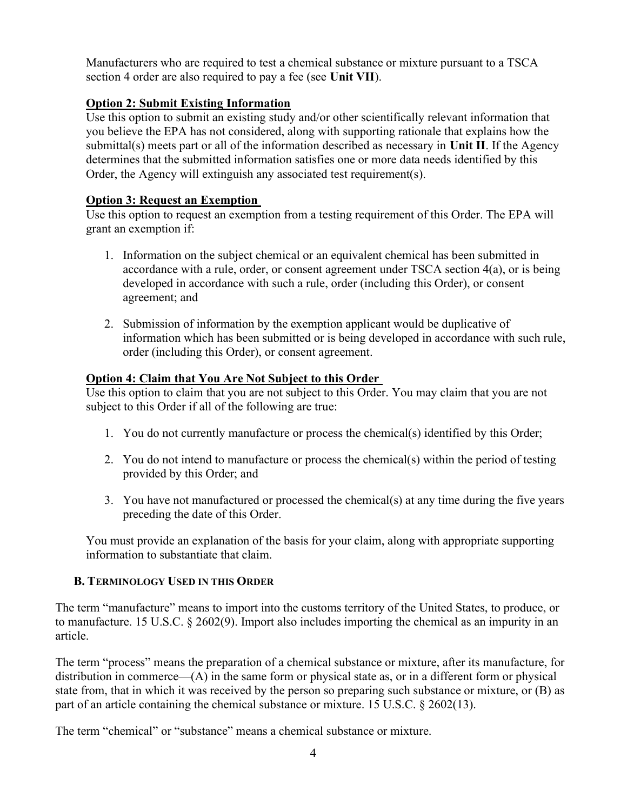Manufacturers who are required to test a chemical substance or mixture pursuant to a TSCA section 4 order are also required to pay a fee (see Unit VII).

### Option 2: Submit Existing Information

Use this option to submit an existing study and/or other scientifically relevant information that you believe the EPA has not considered, along with supporting rationale that explains how the submittal(s) meets part or all of the information described as necessary in Unit II. If the Agency determines that the submitted information satisfies one or more data needs identified by this Order, the Agency will extinguish any associated test requirement(s).

#### Option 3: Request an Exemption

Use this option to request an exemption from a testing requirement of this Order. The EPA will grant an exemption if:

- 1. Information on the subject chemical or an equivalent chemical has been submitted in accordance with a rule, order, or consent agreement under TSCA section 4(a), or is being developed in accordance with such a rule, order (including this Order), or consent agreement; and
- 2. Submission of information by the exemption applicant would be duplicative of information which has been submitted or is being developed in accordance with such rule, order (including this Order), or consent agreement.

### Option 4: Claim that You Are Not Subject to this Order

Use this option to claim that you are not subject to this Order. You may claim that you are not subject to this Order if all of the following are true:

- 1. You do not currently manufacture or process the chemical(s) identified by this Order;
- 2. You do not intend to manufacture or process the chemical(s) within the period of testing provided by this Order; and
- 3. You have not manufactured or processed the chemical(s) at any time during the five years preceding the date of this Order.

You must provide an explanation of the basis for your claim, along with appropriate supporting information to substantiate that claim.

## B. TERMINOLOGY USED IN THIS ORDER

The term "manufacture" means to import into the customs territory of the United States, to produce, or to manufacture. 15 U.S.C. § 2602(9). Import also includes importing the chemical as an impurity in an article.

The term "process" means the preparation of a chemical substance or mixture, after its manufacture, for distribution in commerce—(A) in the same form or physical state as, or in a different form or physical state from, that in which it was received by the person so preparing such substance or mixture, or (B) as part of an article containing the chemical substance or mixture. 15 U.S.C. § 2602(13).

The term "chemical" or "substance" means a chemical substance or mixture.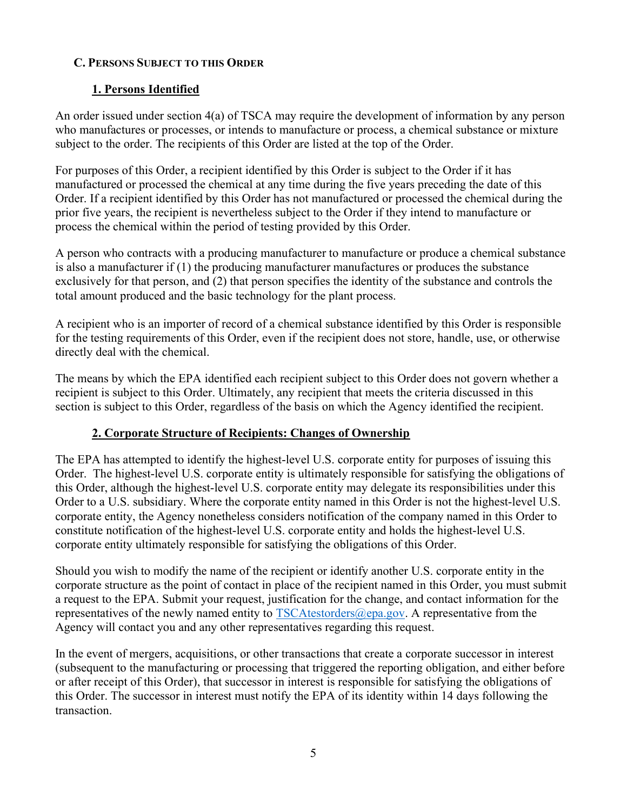### C. PERSONS SUBJECT TO THIS ORDER

## 1. Persons Identified

An order issued under section 4(a) of TSCA may require the development of information by any person who manufactures or processes, or intends to manufacture or process, a chemical substance or mixture subject to the order. The recipients of this Order are listed at the top of the Order.

For purposes of this Order, a recipient identified by this Order is subject to the Order if it has manufactured or processed the chemical at any time during the five years preceding the date of this Order. If a recipient identified by this Order has not manufactured or processed the chemical during the prior five years, the recipient is nevertheless subject to the Order if they intend to manufacture or process the chemical within the period of testing provided by this Order.

A person who contracts with a producing manufacturer to manufacture or produce a chemical substance is also a manufacturer if (1) the producing manufacturer manufactures or produces the substance exclusively for that person, and (2) that person specifies the identity of the substance and controls the total amount produced and the basic technology for the plant process.

A recipient who is an importer of record of a chemical substance identified by this Order is responsible for the testing requirements of this Order, even if the recipient does not store, handle, use, or otherwise directly deal with the chemical.

The means by which the EPA identified each recipient subject to this Order does not govern whether a recipient is subject to this Order. Ultimately, any recipient that meets the criteria discussed in this section is subject to this Order, regardless of the basis on which the Agency identified the recipient.

## 2. Corporate Structure of Recipients: Changes of Ownership

The EPA has attempted to identify the highest-level U.S. corporate entity for purposes of issuing this Order. The highest-level U.S. corporate entity is ultimately responsible for satisfying the obligations of this Order, although the highest-level U.S. corporate entity may delegate its responsibilities under this Order to a U.S. subsidiary. Where the corporate entity named in this Order is not the highest-level U.S. corporate entity, the Agency nonetheless considers notification of the company named in this Order to constitute notification of the highest-level U.S. corporate entity and holds the highest-level U.S. corporate entity ultimately responsible for satisfying the obligations of this Order.

Should you wish to modify the name of the recipient or identify another U.S. corporate entity in the corporate structure as the point of contact in place of the recipient named in this Order, you must submit a request to the EPA. Submit your request, justification for the change, and contact information for the representatives of the newly named entity to  $TSCAtestorders@epa.gov$ . A representative from the Agency will contact you and any other representatives regarding this request.

In the event of mergers, acquisitions, or other transactions that create a corporate successor in interest (subsequent to the manufacturing or processing that triggered the reporting obligation, and either before or after receipt of this Order), that successor in interest is responsible for satisfying the obligations of this Order. The successor in interest must notify the EPA of its identity within 14 days following the transaction.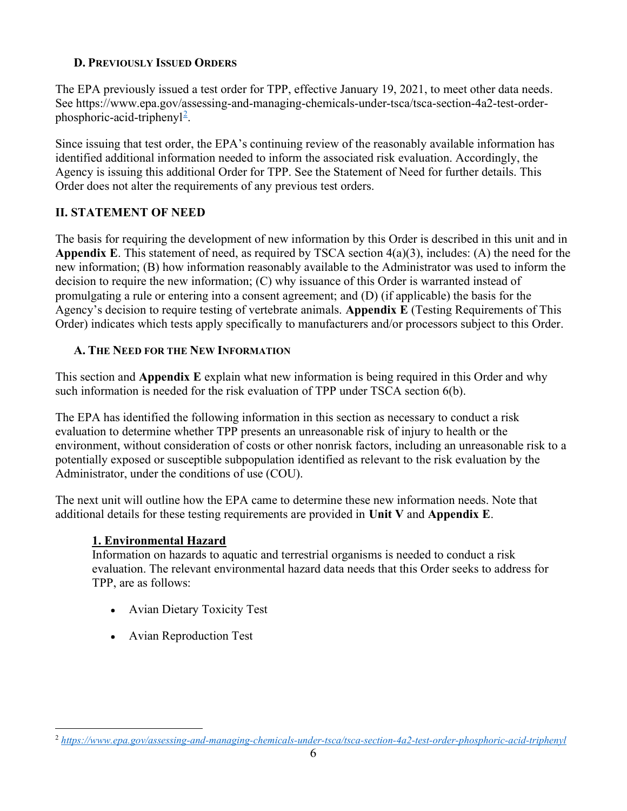### D. PREVIOUSLY ISSUED ORDERS

The EPA previously issued a test order for TPP, effective January 19, 2021, to meet other data needs. See https://www.epa.gov/assessing-and-managing-chemicals-under-tsca/tsca-section-4a2-test-orderphosphoric-acid-triphenyl<sup>2</sup>.

Since issuing that test order, the EPA's continuing review of the reasonably available information has identified additional information needed to inform the associated risk evaluation. Accordingly, the Agency is issuing this additional Order for TPP. See the Statement of Need for further details. This Order does not alter the requirements of any previous test orders.

# II. STATEMENT OF NEED

The basis for requiring the development of new information by this Order is described in this unit and in Appendix E. This statement of need, as required by TSCA section  $4(a)(3)$ , includes: (A) the need for the new information; (B) how information reasonably available to the Administrator was used to inform the decision to require the new information; (C) why issuance of this Order is warranted instead of promulgating a rule or entering into a consent agreement; and (D) (if applicable) the basis for the Agency's decision to require testing of vertebrate animals. Appendix E (Testing Requirements of This Order) indicates which tests apply specifically to manufacturers and/or processors subject to this Order.

## A. THE NEED FOR THE NEW INFORMATION

This section and **Appendix E** explain what new information is being required in this Order and why such information is needed for the risk evaluation of TPP under TSCA section 6(b).

The EPA has identified the following information in this section as necessary to conduct a risk evaluation to determine whether TPP presents an unreasonable risk of injury to health or the environment, without consideration of costs or other nonrisk factors, including an unreasonable risk to a potentially exposed or susceptible subpopulation identified as relevant to the risk evaluation by the Administrator, under the conditions of use (COU).

The next unit will outline how the EPA came to determine these new information needs. Note that additional details for these testing requirements are provided in Unit  $V$  and Appendix E.

## 1. Environmental Hazard

Information on hazards to aquatic and terrestrial organisms is needed to conduct a risk evaluation. The relevant environmental hazard data needs that this Order seeks to address for TPP, are as follows:

- Avian Dietary Toxicity Test
- Avian Reproduction Test

<sup>&</sup>lt;sup>2</sup> https://www.epa.gov/assessing-and-managing-chemicals-under-tsca/tsca-section-4a2-test-order-phosphoric-acid-triphenyl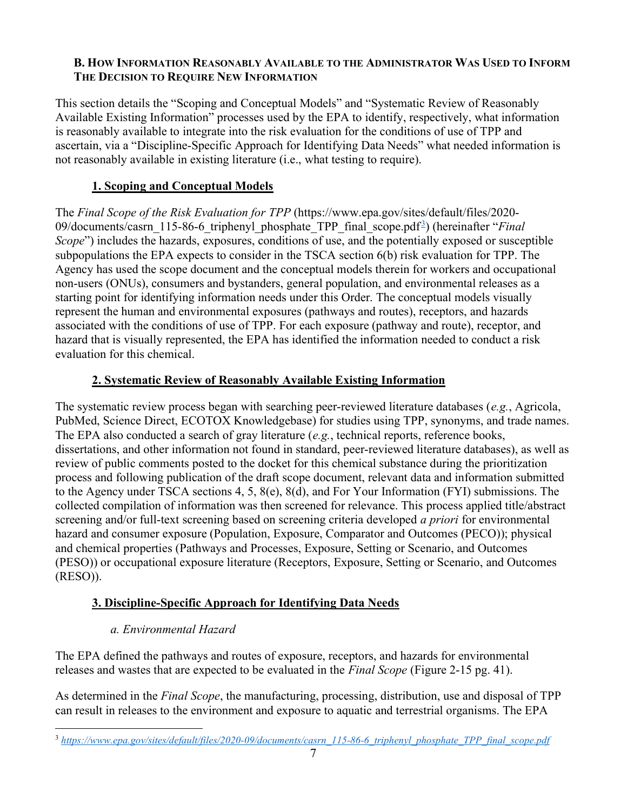#### B. HOW INFORMATION REASONABLY AVAILABLE TO THE ADMINISTRATOR WAS USED TO INFORM THE DECISION TO REQUIRE NEW INFORMATION

This section details the "Scoping and Conceptual Models" and "Systematic Review of Reasonably Available Existing Information" processes used by the EPA to identify, respectively, what information is reasonably available to integrate into the risk evaluation for the conditions of use of TPP and ascertain, via a "Discipline-Specific Approach for Identifying Data Needs" what needed information is not reasonably available in existing literature (i.e., what testing to require).

### 1. Scoping and Conceptual Models

The Final Scope of the Risk Evaluation for TPP (https://www.epa.gov/sites/default/files/2020- 09/documents/casrn\_115-86-6\_triphenyl\_phosphate\_TPP\_final\_scope.pdf<sup>2</sup>) (hereinafter "Final Scope") includes the hazards, exposures, conditions of use, and the potentially exposed or susceptible subpopulations the EPA expects to consider in the TSCA section 6(b) risk evaluation for TPP. The Agency has used the scope document and the conceptual models therein for workers and occupational non-users (ONUs), consumers and bystanders, general population, and environmental releases as a starting point for identifying information needs under this Order. The conceptual models visually represent the human and environmental exposures (pathways and routes), receptors, and hazards associated with the conditions of use of TPP. For each exposure (pathway and route), receptor, and hazard that is visually represented, the EPA has identified the information needed to conduct a risk evaluation for this chemical.

### 2. Systematic Review of Reasonably Available Existing Information

The systematic review process began with searching peer-reviewed literature databases (e.g., Agricola, PubMed, Science Direct, ECOTOX Knowledgebase) for studies using TPP, synonyms, and trade names. The EPA also conducted a search of gray literature  $(e.g.,$  technical reports, reference books, dissertations, and other information not found in standard, peer-reviewed literature databases), as well as review of public comments posted to the docket for this chemical substance during the prioritization process and following publication of the draft scope document, relevant data and information submitted to the Agency under TSCA sections 4, 5, 8(e), 8(d), and For Your Information (FYI) submissions. The collected compilation of information was then screened for relevance. This process applied title/abstract screening and/or full-text screening based on screening criteria developed *a priori* for environmental hazard and consumer exposure (Population, Exposure, Comparator and Outcomes (PECO)); physical and chemical properties (Pathways and Processes, Exposure, Setting or Scenario, and Outcomes (PESO)) or occupational exposure literature (Receptors, Exposure, Setting or Scenario, and Outcomes (RESO)).

## 3. Discipline-Specific Approach for Identifying Data Needs

## a. Environmental Hazard

The EPA defined the pathways and routes of exposure, receptors, and hazards for environmental releases and wastes that are expected to be evaluated in the *Final Scope* (Figure 2-15 pg. 41).

As determined in the Final Scope, the manufacturing, processing, distribution, use and disposal of TPP can result in releases to the environment and exposure to aquatic and terrestrial organisms. The EPA

<sup>&</sup>lt;sup>3</sup> https://www.epa.gov/sites/default/files/2020-09/documents/casrn\_115-86-6\_triphenyl\_phosphate\_TPP\_final\_scope.pdf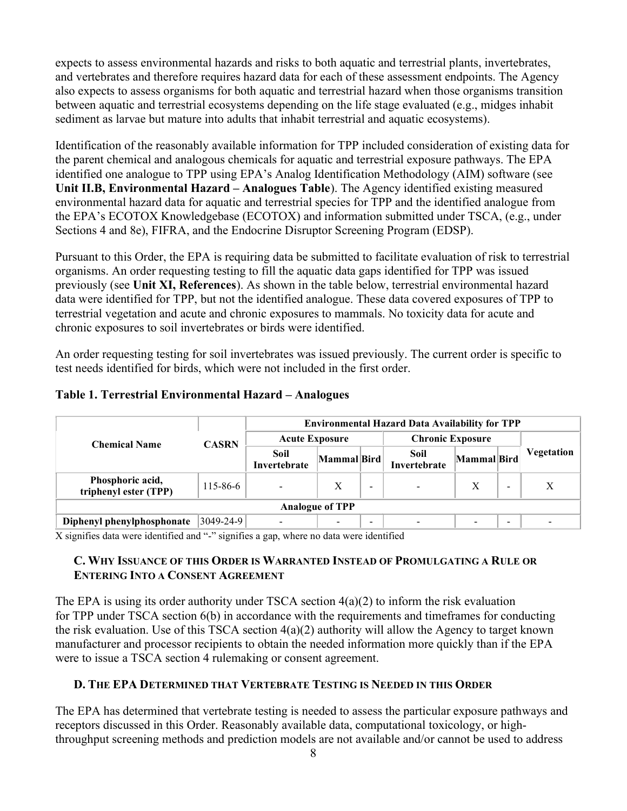expects to assess environmental hazards and risks to both aquatic and terrestrial plants, invertebrates, and vertebrates and therefore requires hazard data for each of these assessment endpoints. The Agency also expects to assess organisms for both aquatic and terrestrial hazard when those organisms transition between aquatic and terrestrial ecosystems depending on the life stage evaluated (e.g., midges inhabit sediment as larvae but mature into adults that inhabit terrestrial and aquatic ecosystems).

Identification of the reasonably available information for TPP included consideration of existing data for the parent chemical and analogous chemicals for aquatic and terrestrial exposure pathways. The EPA identified one analogue to TPP using EPA's Analog Identification Methodology (AIM) software (see Unit II.B, Environmental Hazard – Analogues Table). The Agency identified existing measured environmental hazard data for aquatic and terrestrial species for TPP and the identified analogue from the EPA's ECOTOX Knowledgebase (ECOTOX) and information submitted under TSCA, (e.g., under Sections 4 and 8e), FIFRA, and the Endocrine Disruptor Screening Program (EDSP).

Pursuant to this Order, the EPA is requiring data be submitted to facilitate evaluation of risk to terrestrial organisms. An order requesting testing to fill the aquatic data gaps identified for TPP was issued previously (see Unit XI, References). As shown in the table below, terrestrial environmental hazard data were identified for TPP, but not the identified analogue. These data covered exposures of TPP to terrestrial vegetation and acute and chronic exposures to mammals. No toxicity data for acute and chronic exposures to soil invertebrates or birds were identified.

An order requesting testing for soil invertebrates was issued previously. The current order is specific to test needs identified for birds, which were not included in the first order.

|                                           | <b>CASRN</b>    | <b>Environmental Hazard Data Availability for TPP</b> |                          |                          |                          |                           |                          |                          |
|-------------------------------------------|-----------------|-------------------------------------------------------|--------------------------|--------------------------|--------------------------|---------------------------|--------------------------|--------------------------|
| <b>Chemical Name</b>                      |                 | <b>Acute Exposure</b>                                 |                          |                          | <b>Chronic Exposure</b>  |                           |                          |                          |
|                                           |                 | Soil<br>Invertebrate                                  | Mammal Bird              |                          | Soil<br>Invertebrate     | Mammal Bird               |                          | <b>Vegetation</b>        |
| Phosphoric acid,<br>triphenyl ester (TPP) | 115-86-6        | $\blacksquare$                                        | Х                        | -                        | $\overline{\phantom{a}}$ | $\boldsymbol{\mathrm{X}}$ | $\overline{\phantom{a}}$ | X                        |
| <b>Analogue of TPP</b>                    |                 |                                                       |                          |                          |                          |                           |                          |                          |
| Diphenyl phenylphosphonate                | $3049 - 24 - 9$ |                                                       | $\overline{\phantom{a}}$ | $\overline{\phantom{0}}$ |                          |                           | $\overline{\phantom{a}}$ | $\overline{\phantom{0}}$ |

#### Table 1. Terrestrial Environmental Hazard – Analogues

X signifies data were identified and "-" signifies a gap, where no data were identified

#### C. WHY ISSUANCE OF THIS ORDER IS WARRANTED INSTEAD OF PROMULGATING A RULE OR ENTERING INTO A CONSENT AGREEMENT

The EPA is using its order authority under TSCA section  $4(a)(2)$  to inform the risk evaluation for TPP under TSCA section 6(b) in accordance with the requirements and timeframes for conducting the risk evaluation. Use of this TSCA section 4(a)(2) authority will allow the Agency to target known manufacturer and processor recipients to obtain the needed information more quickly than if the EPA were to issue a TSCA section 4 rulemaking or consent agreement.

#### D. THE EPA DETERMINED THAT VERTEBRATE TESTING IS NEEDED IN THIS ORDER

The EPA has determined that vertebrate testing is needed to assess the particular exposure pathways and receptors discussed in this Order. Reasonably available data, computational toxicology, or highthroughput screening methods and prediction models are not available and/or cannot be used to address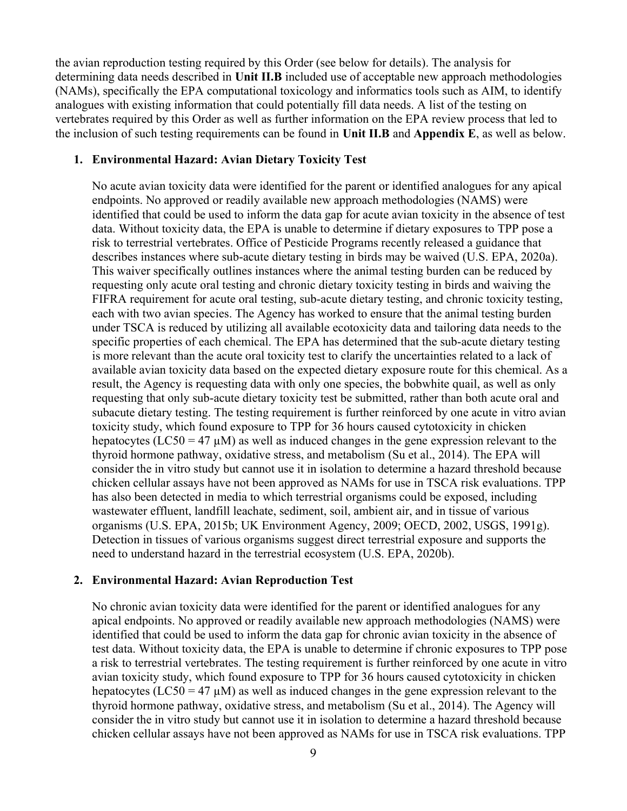the avian reproduction testing required by this Order (see below for details). The analysis for determining data needs described in Unit II.B included use of acceptable new approach methodologies (NAMs), specifically the EPA computational toxicology and informatics tools such as AIM, to identify analogues with existing information that could potentially fill data needs. A list of the testing on vertebrates required by this Order as well as further information on the EPA review process that led to the inclusion of such testing requirements can be found in Unit II.B and Appendix E, as well as below.

#### 1. Environmental Hazard: Avian Dietary Toxicity Test

No acute avian toxicity data were identified for the parent or identified analogues for any apical endpoints. No approved or readily available new approach methodologies (NAMS) were identified that could be used to inform the data gap for acute avian toxicity in the absence of test data. Without toxicity data, the EPA is unable to determine if dietary exposures to TPP pose a risk to terrestrial vertebrates. Office of Pesticide Programs recently released a guidance that describes instances where sub-acute dietary testing in birds may be waived (U.S. EPA, 2020a). This waiver specifically outlines instances where the animal testing burden can be reduced by requesting only acute oral testing and chronic dietary toxicity testing in birds and waiving the FIFRA requirement for acute oral testing, sub-acute dietary testing, and chronic toxicity testing, each with two avian species. The Agency has worked to ensure that the animal testing burden under TSCA is reduced by utilizing all available ecotoxicity data and tailoring data needs to the specific properties of each chemical. The EPA has determined that the sub-acute dietary testing is more relevant than the acute oral toxicity test to clarify the uncertainties related to a lack of available avian toxicity data based on the expected dietary exposure route for this chemical. As a result, the Agency is requesting data with only one species, the bobwhite quail, as well as only requesting that only sub-acute dietary toxicity test be submitted, rather than both acute oral and subacute dietary testing. The testing requirement is further reinforced by one acute in vitro avian toxicity study, which found exposure to TPP for 36 hours caused cytotoxicity in chicken hepatocytes (LC50 = 47  $\mu$ M) as well as induced changes in the gene expression relevant to the thyroid hormone pathway, oxidative stress, and metabolism (Su et al., 2014). The EPA will consider the in vitro study but cannot use it in isolation to determine a hazard threshold because chicken cellular assays have not been approved as NAMs for use in TSCA risk evaluations. TPP has also been detected in media to which terrestrial organisms could be exposed, including wastewater effluent, landfill leachate, sediment, soil, ambient air, and in tissue of various organisms (U.S. EPA, 2015b; UK Environment Agency, 2009; OECD, 2002, USGS, 1991g). Detection in tissues of various organisms suggest direct terrestrial exposure and supports the need to understand hazard in the terrestrial ecosystem (U.S. EPA, 2020b).

#### 2. Environmental Hazard: Avian Reproduction Test

No chronic avian toxicity data were identified for the parent or identified analogues for any apical endpoints. No approved or readily available new approach methodologies (NAMS) were identified that could be used to inform the data gap for chronic avian toxicity in the absence of test data. Without toxicity data, the EPA is unable to determine if chronic exposures to TPP pose a risk to terrestrial vertebrates. The testing requirement is further reinforced by one acute in vitro avian toxicity study, which found exposure to TPP for 36 hours caused cytotoxicity in chicken hepatocytes (LC50 = 47  $\mu$ M) as well as induced changes in the gene expression relevant to the thyroid hormone pathway, oxidative stress, and metabolism (Su et al., 2014). The Agency will consider the in vitro study but cannot use it in isolation to determine a hazard threshold because chicken cellular assays have not been approved as NAMs for use in TSCA risk evaluations. TPP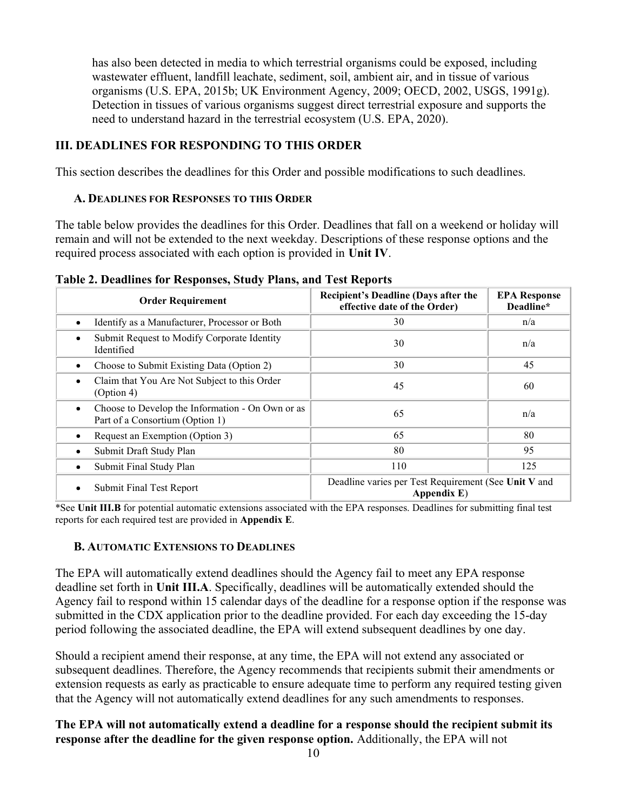has also been detected in media to which terrestrial organisms could be exposed, including wastewater effluent, landfill leachate, sediment, soil, ambient air, and in tissue of various organisms (U.S. EPA, 2015b; UK Environment Agency, 2009; OECD, 2002, USGS, 1991g). Detection in tissues of various organisms suggest direct terrestrial exposure and supports the need to understand hazard in the terrestrial ecosystem (U.S. EPA, 2020).

#### III. DEADLINES FOR RESPONDING TO THIS ORDER

This section describes the deadlines for this Order and possible modifications to such deadlines.

#### A. DEADLINES FOR RESPONSES TO THIS ORDER

The table below provides the deadlines for this Order. Deadlines that fall on a weekend or holiday will remain and will not be extended to the next weekday. Descriptions of these response options and the required process associated with each option is provided in Unit IV.

|  | Table 2. Deadlines for Responses, Study Plans, and Test Reports |  |  |
|--|-----------------------------------------------------------------|--|--|
|  |                                                                 |  |  |

| <b>Order Requirement</b>                                                                 | <b>Recipient's Deadline (Days after the</b><br>effective date of the Order) | <b>EPA Response</b><br>Deadline* |  |
|------------------------------------------------------------------------------------------|-----------------------------------------------------------------------------|----------------------------------|--|
| Identify as a Manufacturer, Processor or Both<br>$\bullet$                               | 30                                                                          | n/a                              |  |
| Submit Request to Modify Corporate Identity<br>٠<br>Identified                           | 30                                                                          | n/a                              |  |
| Choose to Submit Existing Data (Option 2)<br>٠                                           | 30                                                                          | 45                               |  |
| Claim that You Are Not Subject to this Order<br>$\bullet$<br>(Option 4)                  | 45                                                                          | 60                               |  |
| Choose to Develop the Information - On Own or as<br>٠<br>Part of a Consortium (Option 1) | 65                                                                          | n/a                              |  |
| Request an Exemption (Option 3)<br>٠                                                     | 65                                                                          | 80                               |  |
| Submit Draft Study Plan<br>٠                                                             | 80                                                                          | 95                               |  |
| Submit Final Study Plan<br>٠                                                             | 110                                                                         | 125                              |  |
| <b>Submit Final Test Report</b><br>٠                                                     | Deadline varies per Test Requirement (See Unit V and<br>Appendix E)         |                                  |  |

\*See Unit III.B for potential automatic extensions associated with the EPA responses. Deadlines for submitting final test reports for each required test are provided in Appendix E.

#### B. AUTOMATIC EXTENSIONS TO DEADLINES

The EPA will automatically extend deadlines should the Agency fail to meet any EPA response deadline set forth in Unit III.A. Specifically, deadlines will be automatically extended should the Agency fail to respond within 15 calendar days of the deadline for a response option if the response was submitted in the CDX application prior to the deadline provided. For each day exceeding the 15-day period following the associated deadline, the EPA will extend subsequent deadlines by one day.

Should a recipient amend their response, at any time, the EPA will not extend any associated or subsequent deadlines. Therefore, the Agency recommends that recipients submit their amendments or extension requests as early as practicable to ensure adequate time to perform any required testing given that the Agency will not automatically extend deadlines for any such amendments to responses.

#### The EPA will not automatically extend a deadline for a response should the recipient submit its response after the deadline for the given response option. Additionally, the EPA will not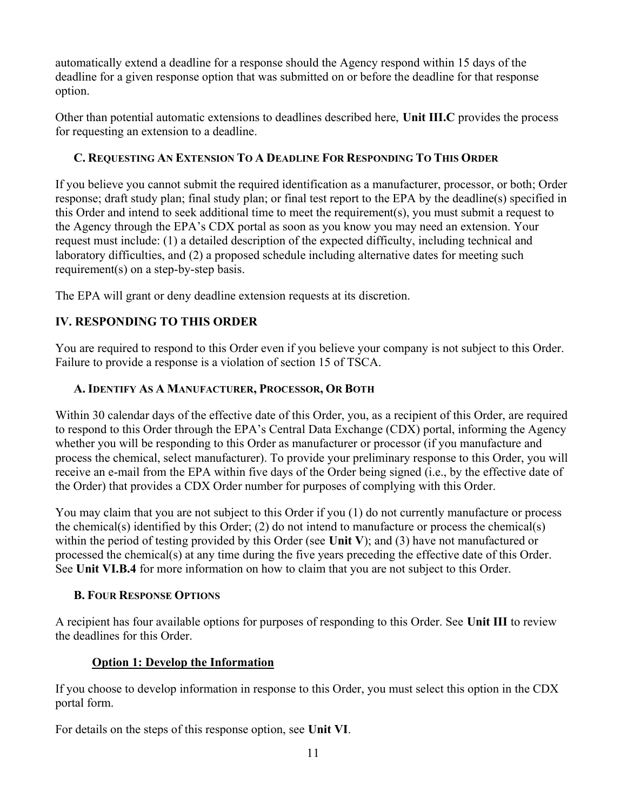automatically extend a deadline for a response should the Agency respond within 15 days of the deadline for a given response option that was submitted on or before the deadline for that response option.

Other than potential automatic extensions to deadlines described here, Unit III.C provides the process for requesting an extension to a deadline.

## C. REQUESTING AN EXTENSION TO A DEADLINE FOR RESPONDING TO THIS ORDER

If you believe you cannot submit the required identification as a manufacturer, processor, or both; Order response; draft study plan; final study plan; or final test report to the EPA by the deadline(s) specified in this Order and intend to seek additional time to meet the requirement(s), you must submit a request to the Agency through the EPA's CDX portal as soon as you know you may need an extension. Your request must include: (1) a detailed description of the expected difficulty, including technical and laboratory difficulties, and (2) a proposed schedule including alternative dates for meeting such requirement(s) on a step-by-step basis.

The EPA will grant or deny deadline extension requests at its discretion.

# IV. RESPONDING TO THIS ORDER

You are required to respond to this Order even if you believe your company is not subject to this Order. Failure to provide a response is a violation of section 15 of TSCA.

## A. IDENTIFY AS A MANUFACTURER, PROCESSOR, OR BOTH

Within 30 calendar days of the effective date of this Order, you, as a recipient of this Order, are required to respond to this Order through the EPA's Central Data Exchange (CDX) portal, informing the Agency whether you will be responding to this Order as manufacturer or processor (if you manufacture and process the chemical, select manufacturer). To provide your preliminary response to this Order, you will receive an e-mail from the EPA within five days of the Order being signed (i.e., by the effective date of the Order) that provides a CDX Order number for purposes of complying with this Order.

You may claim that you are not subject to this Order if you (1) do not currently manufacture or process the chemical(s) identified by this Order; (2) do not intend to manufacture or process the chemical(s) within the period of testing provided by this Order (see Unit V); and (3) have not manufactured or processed the chemical(s) at any time during the five years preceding the effective date of this Order. See Unit VI.B.4 for more information on how to claim that you are not subject to this Order.

#### B. FOUR RESPONSE OPTIONS

A recipient has four available options for purposes of responding to this Order. See Unit III to review the deadlines for this Order.

## Option 1: Develop the Information

If you choose to develop information in response to this Order, you must select this option in the CDX portal form.

For details on the steps of this response option, see Unit VI.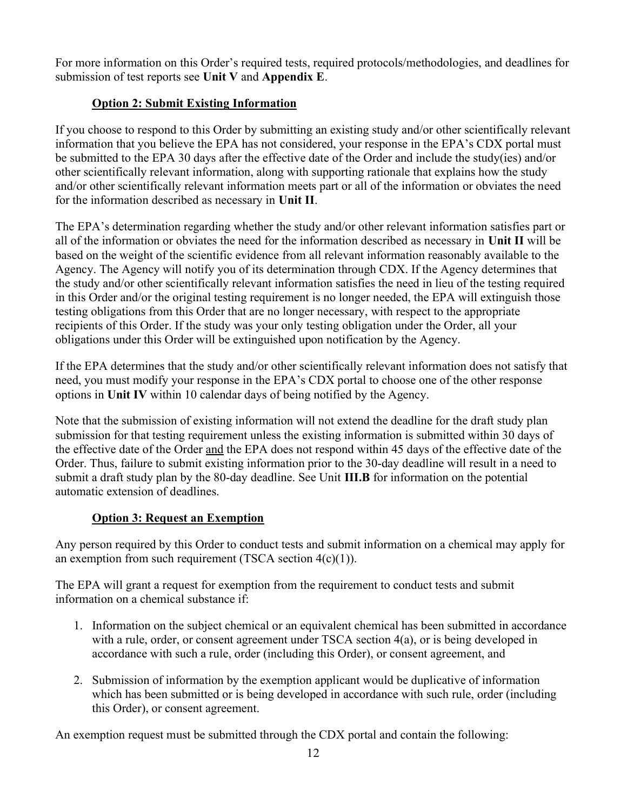For more information on this Order's required tests, required protocols/methodologies, and deadlines for submission of test reports see Unit V and Appendix E.

## Option 2: Submit Existing Information

If you choose to respond to this Order by submitting an existing study and/or other scientifically relevant information that you believe the EPA has not considered, your response in the EPA's CDX portal must be submitted to the EPA 30 days after the effective date of the Order and include the study(ies) and/or other scientifically relevant information, along with supporting rationale that explains how the study and/or other scientifically relevant information meets part or all of the information or obviates the need for the information described as necessary in Unit II.

The EPA's determination regarding whether the study and/or other relevant information satisfies part or all of the information or obviates the need for the information described as necessary in Unit II will be based on the weight of the scientific evidence from all relevant information reasonably available to the Agency. The Agency will notify you of its determination through CDX. If the Agency determines that the study and/or other scientifically relevant information satisfies the need in lieu of the testing required in this Order and/or the original testing requirement is no longer needed, the EPA will extinguish those testing obligations from this Order that are no longer necessary, with respect to the appropriate recipients of this Order. If the study was your only testing obligation under the Order, all your obligations under this Order will be extinguished upon notification by the Agency.

If the EPA determines that the study and/or other scientifically relevant information does not satisfy that need, you must modify your response in the EPA's CDX portal to choose one of the other response options in Unit IV within 10 calendar days of being notified by the Agency.

Note that the submission of existing information will not extend the deadline for the draft study plan submission for that testing requirement unless the existing information is submitted within 30 days of the effective date of the Order and the EPA does not respond within 45 days of the effective date of the Order. Thus, failure to submit existing information prior to the 30-day deadline will result in a need to submit a draft study plan by the 80-day deadline. See Unit III.B for information on the potential automatic extension of deadlines.

# Option 3: Request an Exemption

Any person required by this Order to conduct tests and submit information on a chemical may apply for an exemption from such requirement (TSCA section  $4(c)(1)$ ).

The EPA will grant a request for exemption from the requirement to conduct tests and submit information on a chemical substance if:

- 1. Information on the subject chemical or an equivalent chemical has been submitted in accordance with a rule, order, or consent agreement under TSCA section 4(a), or is being developed in accordance with such a rule, order (including this Order), or consent agreement, and
- 2. Submission of information by the exemption applicant would be duplicative of information which has been submitted or is being developed in accordance with such rule, order (including this Order), or consent agreement.

An exemption request must be submitted through the CDX portal and contain the following: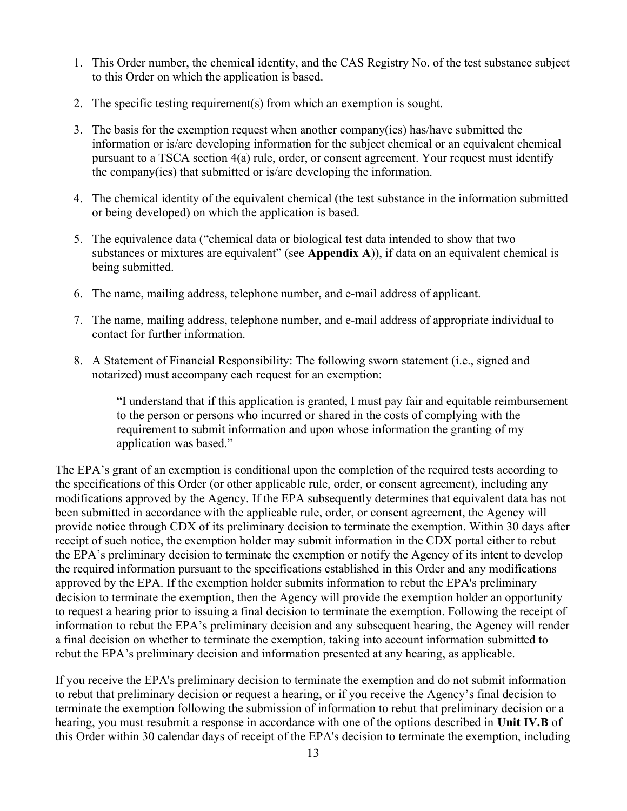- 1. This Order number, the chemical identity, and the CAS Registry No. of the test substance subject to this Order on which the application is based.
- 2. The specific testing requirement(s) from which an exemption is sought.
- 3. The basis for the exemption request when another company(ies) has/have submitted the information or is/are developing information for the subject chemical or an equivalent chemical pursuant to a TSCA section 4(a) rule, order, or consent agreement. Your request must identify the company(ies) that submitted or is/are developing the information.
- 4. The chemical identity of the equivalent chemical (the test substance in the information submitted or being developed) on which the application is based.
- 5. The equivalence data ("chemical data or biological test data intended to show that two substances or mixtures are equivalent" (see Appendix A)), if data on an equivalent chemical is being submitted.
- 6. The name, mailing address, telephone number, and e-mail address of applicant.
- 7. The name, mailing address, telephone number, and e-mail address of appropriate individual to contact for further information.
- 8. A Statement of Financial Responsibility: The following sworn statement (i.e., signed and notarized) must accompany each request for an exemption:

"I understand that if this application is granted, I must pay fair and equitable reimbursement to the person or persons who incurred or shared in the costs of complying with the requirement to submit information and upon whose information the granting of my application was based."

The EPA's grant of an exemption is conditional upon the completion of the required tests according to the specifications of this Order (or other applicable rule, order, or consent agreement), including any modifications approved by the Agency. If the EPA subsequently determines that equivalent data has not been submitted in accordance with the applicable rule, order, or consent agreement, the Agency will provide notice through CDX of its preliminary decision to terminate the exemption. Within 30 days after receipt of such notice, the exemption holder may submit information in the CDX portal either to rebut the EPA's preliminary decision to terminate the exemption or notify the Agency of its intent to develop the required information pursuant to the specifications established in this Order and any modifications approved by the EPA. If the exemption holder submits information to rebut the EPA's preliminary decision to terminate the exemption, then the Agency will provide the exemption holder an opportunity to request a hearing prior to issuing a final decision to terminate the exemption. Following the receipt of information to rebut the EPA's preliminary decision and any subsequent hearing, the Agency will render a final decision on whether to terminate the exemption, taking into account information submitted to rebut the EPA's preliminary decision and information presented at any hearing, as applicable.

If you receive the EPA's preliminary decision to terminate the exemption and do not submit information to rebut that preliminary decision or request a hearing, or if you receive the Agency's final decision to terminate the exemption following the submission of information to rebut that preliminary decision or a hearing, you must resubmit a response in accordance with one of the options described in Unit IV.B of this Order within 30 calendar days of receipt of the EPA's decision to terminate the exemption, including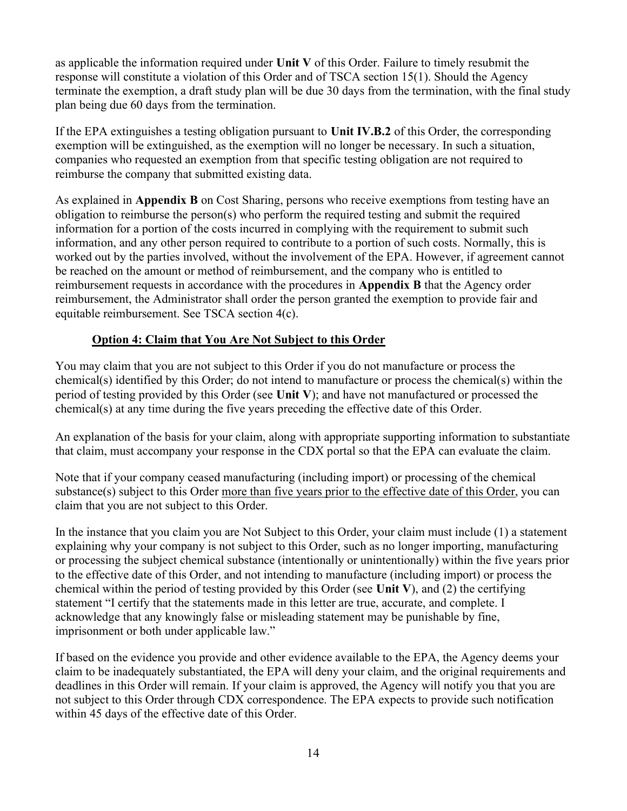as applicable the information required under Unit V of this Order. Failure to timely resubmit the response will constitute a violation of this Order and of TSCA section 15(1). Should the Agency terminate the exemption, a draft study plan will be due 30 days from the termination, with the final study plan being due 60 days from the termination.

If the EPA extinguishes a testing obligation pursuant to Unit IV.B.2 of this Order, the corresponding exemption will be extinguished, as the exemption will no longer be necessary. In such a situation, companies who requested an exemption from that specific testing obligation are not required to reimburse the company that submitted existing data.

As explained in Appendix B on Cost Sharing, persons who receive exemptions from testing have an obligation to reimburse the person(s) who perform the required testing and submit the required information for a portion of the costs incurred in complying with the requirement to submit such information, and any other person required to contribute to a portion of such costs. Normally, this is worked out by the parties involved, without the involvement of the EPA. However, if agreement cannot be reached on the amount or method of reimbursement, and the company who is entitled to reimbursement requests in accordance with the procedures in Appendix B that the Agency order reimbursement, the Administrator shall order the person granted the exemption to provide fair and equitable reimbursement. See TSCA section 4(c).

#### Option 4: Claim that You Are Not Subject to this Order

You may claim that you are not subject to this Order if you do not manufacture or process the chemical(s) identified by this Order; do not intend to manufacture or process the chemical(s) within the period of testing provided by this Order (see Unit V); and have not manufactured or processed the chemical(s) at any time during the five years preceding the effective date of this Order.

An explanation of the basis for your claim, along with appropriate supporting information to substantiate that claim, must accompany your response in the CDX portal so that the EPA can evaluate the claim.

Note that if your company ceased manufacturing (including import) or processing of the chemical substance(s) subject to this Order more than five years prior to the effective date of this Order, you can claim that you are not subject to this Order.

In the instance that you claim you are Not Subject to this Order, your claim must include (1) a statement explaining why your company is not subject to this Order, such as no longer importing, manufacturing or processing the subject chemical substance (intentionally or unintentionally) within the five years prior to the effective date of this Order, and not intending to manufacture (including import) or process the chemical within the period of testing provided by this Order (see Unit V), and (2) the certifying statement "I certify that the statements made in this letter are true, accurate, and complete. I acknowledge that any knowingly false or misleading statement may be punishable by fine, imprisonment or both under applicable law."

If based on the evidence you provide and other evidence available to the EPA, the Agency deems your claim to be inadequately substantiated, the EPA will deny your claim, and the original requirements and deadlines in this Order will remain. If your claim is approved, the Agency will notify you that you are not subject to this Order through CDX correspondence. The EPA expects to provide such notification within 45 days of the effective date of this Order.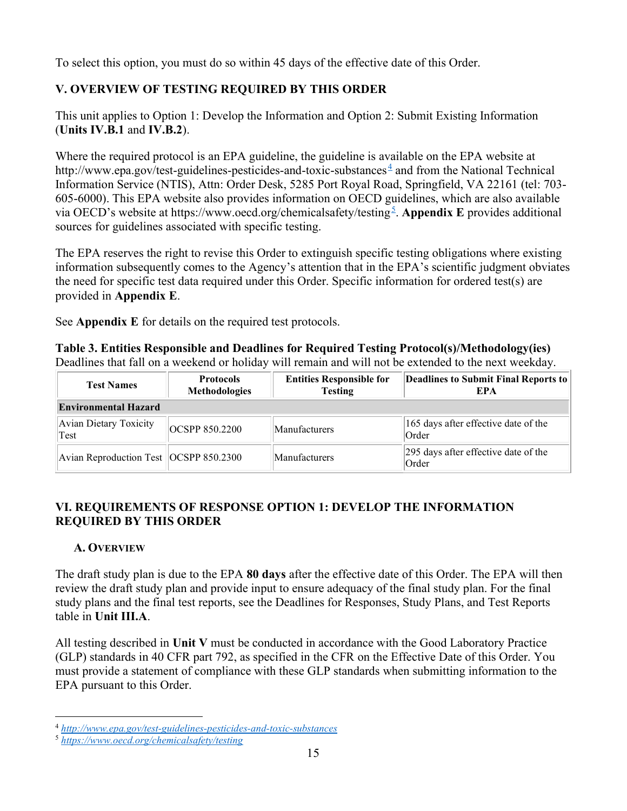To select this option, you must do so within 45 days of the effective date of this Order.

# V. OVERVIEW OF TESTING REQUIRED BY THIS ORDER

This unit applies to Option 1: Develop the Information and Option 2: Submit Existing Information (Units IV.B.1 and IV.B.2).

Where the required protocol is an EPA guideline, the guideline is available on the EPA website at http://www.epa.gov/test-guidelines-pesticides-and-toxic-substances  $\frac{4}{3}$  and from the National Technical Information Service (NTIS), Attn: Order Desk, 5285 Port Royal Road, Springfield, VA 22161 (tel: 703- 605-6000). This EPA website also provides information on OECD guidelines, which are also available via OECD's website at https://www.oecd.org/chemicalsafety/testing<sup>5</sup>. Appendix E provides additional sources for guidelines associated with specific testing.

The EPA reserves the right to revise this Order to extinguish specific testing obligations where existing information subsequently comes to the Agency's attention that in the EPA's scientific judgment obviates the need for specific test data required under this Order. Specific information for ordered test(s) are provided in Appendix E.

See **Appendix** E for details on the required test protocols.

Table 3. Entities Responsible and Deadlines for Required Testing Protocol(s)/Methodology(ies) Deadlines that fall on a weekend or holiday will remain and will not be extended to the next weekday.

| <b>Test Names</b>                        | <b>Protocols</b><br><b>Methodologies</b> | <b>Entities Responsible for</b><br><b>Testing</b> | Deadlines to Submit Final Reports to<br>EPA   |  |  |  |  |
|------------------------------------------|------------------------------------------|---------------------------------------------------|-----------------------------------------------|--|--|--|--|
| <b>Environmental Hazard</b>              |                                          |                                                   |                                               |  |  |  |  |
| Avian Dietary Toxicity<br>Test           | OCSPP 850.2200                           | Manufacturers                                     | 165 days after effective date of the<br>Order |  |  |  |  |
| Avian Reproduction Test   OCSPP 850.2300 |                                          | Manufacturers                                     | 295 days after effective date of the<br>Order |  |  |  |  |

## VI. REQUIREMENTS OF RESPONSE OPTION 1: DEVELOP THE INFORMATION REQUIRED BY THIS ORDER

## A. OVERVIEW

The draft study plan is due to the EPA 80 days after the effective date of this Order. The EPA will then review the draft study plan and provide input to ensure adequacy of the final study plan. For the final study plans and the final test reports, see the Deadlines for Responses, Study Plans, and Test Reports table in Unit III.A.

All testing described in Unit V must be conducted in accordance with the Good Laboratory Practice (GLP) standards in 40 CFR part 792, as specified in the CFR on the Effective Date of this Order. You must provide a statement of compliance with these GLP standards when submitting information to the EPA pursuant to this Order.

<sup>4</sup> http://www.epa.gov/test-guidelines-pesticides-and-toxic-substances

<sup>5</sup> https://www.oecd.org/chemicalsafety/testing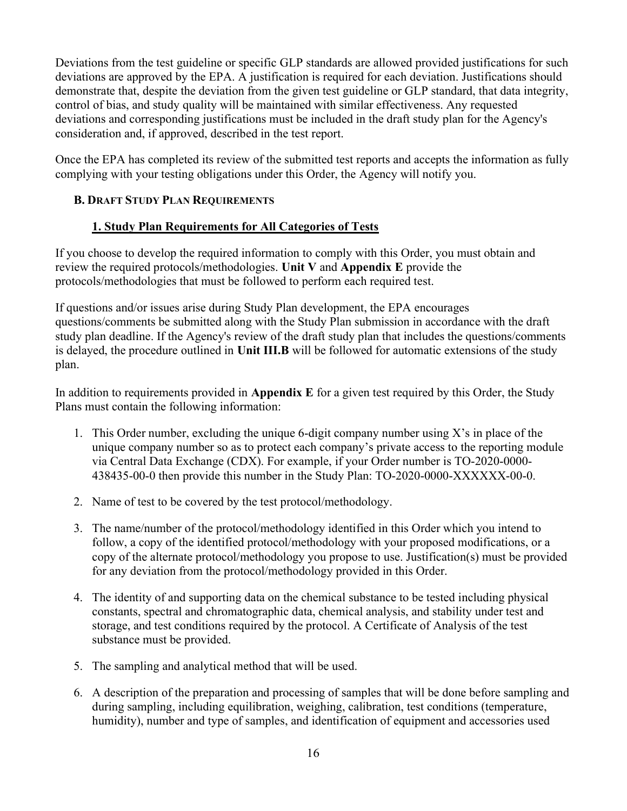Deviations from the test guideline or specific GLP standards are allowed provided justifications for such deviations are approved by the EPA. A justification is required for each deviation. Justifications should demonstrate that, despite the deviation from the given test guideline or GLP standard, that data integrity, control of bias, and study quality will be maintained with similar effectiveness. Any requested deviations and corresponding justifications must be included in the draft study plan for the Agency's consideration and, if approved, described in the test report.

Once the EPA has completed its review of the submitted test reports and accepts the information as fully complying with your testing obligations under this Order, the Agency will notify you.

### B. DRAFT STUDY PLAN REQUIREMENTS

### 1. Study Plan Requirements for All Categories of Tests

If you choose to develop the required information to comply with this Order, you must obtain and review the required protocols/methodologies. Unit V and Appendix E provide the protocols/methodologies that must be followed to perform each required test.

If questions and/or issues arise during Study Plan development, the EPA encourages questions/comments be submitted along with the Study Plan submission in accordance with the draft study plan deadline. If the Agency's review of the draft study plan that includes the questions/comments is delayed, the procedure outlined in Unit III.B will be followed for automatic extensions of the study plan.

In addition to requirements provided in Appendix E for a given test required by this Order, the Study Plans must contain the following information:

- 1. This Order number, excluding the unique 6-digit company number using X's in place of the unique company number so as to protect each company's private access to the reporting module via Central Data Exchange (CDX). For example, if your Order number is TO-2020-0000- 438435-00-0 then provide this number in the Study Plan: TO-2020-0000-XXXXXX-00-0.
- 2. Name of test to be covered by the test protocol/methodology.
- 3. The name/number of the protocol/methodology identified in this Order which you intend to follow, a copy of the identified protocol/methodology with your proposed modifications, or a copy of the alternate protocol/methodology you propose to use. Justification(s) must be provided for any deviation from the protocol/methodology provided in this Order.
- 4. The identity of and supporting data on the chemical substance to be tested including physical constants, spectral and chromatographic data, chemical analysis, and stability under test and storage, and test conditions required by the protocol. A Certificate of Analysis of the test substance must be provided.
- 5. The sampling and analytical method that will be used.
- 6. A description of the preparation and processing of samples that will be done before sampling and during sampling, including equilibration, weighing, calibration, test conditions (temperature, humidity), number and type of samples, and identification of equipment and accessories used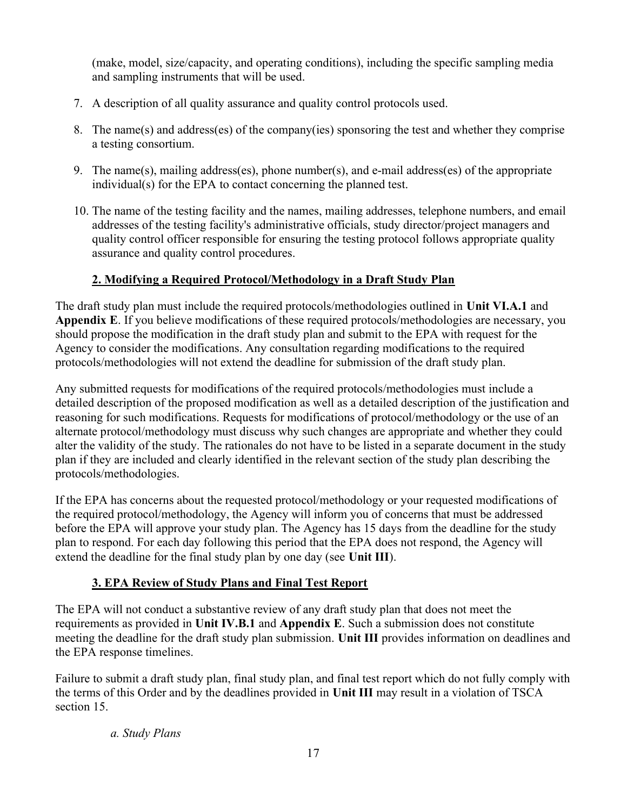(make, model, size/capacity, and operating conditions), including the specific sampling media and sampling instruments that will be used.

- 7. A description of all quality assurance and quality control protocols used.
- 8. The name(s) and address(es) of the company(ies) sponsoring the test and whether they comprise a testing consortium.
- 9. The name(s), mailing address(es), phone number(s), and e-mail address(es) of the appropriate individual(s) for the EPA to contact concerning the planned test.
- 10. The name of the testing facility and the names, mailing addresses, telephone numbers, and email addresses of the testing facility's administrative officials, study director/project managers and quality control officer responsible for ensuring the testing protocol follows appropriate quality assurance and quality control procedures.

# 2. Modifying a Required Protocol/Methodology in a Draft Study Plan

The draft study plan must include the required protocols/methodologies outlined in Unit VI.A.1 and Appendix E. If you believe modifications of these required protocols/methodologies are necessary, you should propose the modification in the draft study plan and submit to the EPA with request for the Agency to consider the modifications. Any consultation regarding modifications to the required protocols/methodologies will not extend the deadline for submission of the draft study plan.

Any submitted requests for modifications of the required protocols/methodologies must include a detailed description of the proposed modification as well as a detailed description of the justification and reasoning for such modifications. Requests for modifications of protocol/methodology or the use of an alternate protocol/methodology must discuss why such changes are appropriate and whether they could alter the validity of the study. The rationales do not have to be listed in a separate document in the study plan if they are included and clearly identified in the relevant section of the study plan describing the protocols/methodologies.

If the EPA has concerns about the requested protocol/methodology or your requested modifications of the required protocol/methodology, the Agency will inform you of concerns that must be addressed before the EPA will approve your study plan. The Agency has 15 days from the deadline for the study plan to respond. For each day following this period that the EPA does not respond, the Agency will extend the deadline for the final study plan by one day (see Unit III).

# 3. EPA Review of Study Plans and Final Test Report

The EPA will not conduct a substantive review of any draft study plan that does not meet the requirements as provided in Unit IV.B.1 and Appendix E. Such a submission does not constitute meeting the deadline for the draft study plan submission. Unit III provides information on deadlines and the EPA response timelines.

Failure to submit a draft study plan, final study plan, and final test report which do not fully comply with the terms of this Order and by the deadlines provided in Unit III may result in a violation of TSCA section 15.

## a. Study Plans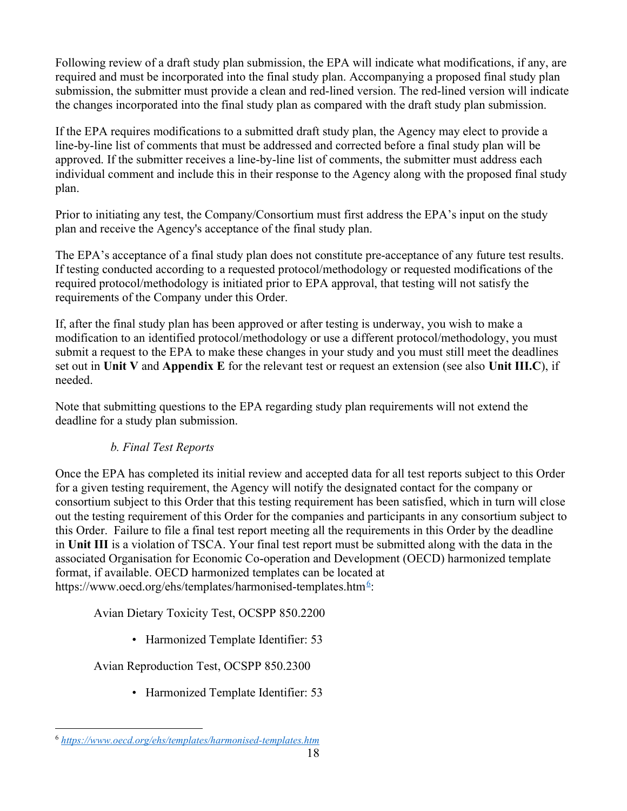Following review of a draft study plan submission, the EPA will indicate what modifications, if any, are required and must be incorporated into the final study plan. Accompanying a proposed final study plan submission, the submitter must provide a clean and red-lined version. The red-lined version will indicate the changes incorporated into the final study plan as compared with the draft study plan submission.

If the EPA requires modifications to a submitted draft study plan, the Agency may elect to provide a line-by-line list of comments that must be addressed and corrected before a final study plan will be approved. If the submitter receives a line-by-line list of comments, the submitter must address each individual comment and include this in their response to the Agency along with the proposed final study plan.

Prior to initiating any test, the Company/Consortium must first address the EPA's input on the study plan and receive the Agency's acceptance of the final study plan.

The EPA's acceptance of a final study plan does not constitute pre-acceptance of any future test results. If testing conducted according to a requested protocol/methodology or requested modifications of the required protocol/methodology is initiated prior to EPA approval, that testing will not satisfy the requirements of the Company under this Order.

If, after the final study plan has been approved or after testing is underway, you wish to make a modification to an identified protocol/methodology or use a different protocol/methodology, you must submit a request to the EPA to make these changes in your study and you must still meet the deadlines set out in Unit V and Appendix E for the relevant test or request an extension (see also Unit III.C), if needed.

Note that submitting questions to the EPA regarding study plan requirements will not extend the deadline for a study plan submission.

## b. Final Test Reports

Once the EPA has completed its initial review and accepted data for all test reports subject to this Order for a given testing requirement, the Agency will notify the designated contact for the company or consortium subject to this Order that this testing requirement has been satisfied, which in turn will close out the testing requirement of this Order for the companies and participants in any consortium subject to this Order. Failure to file a final test report meeting all the requirements in this Order by the deadline in Unit III is a violation of TSCA. Your final test report must be submitted along with the data in the associated Organisation for Economic Co-operation and Development (OECD) harmonized template format, if available. OECD harmonized templates can be located at https://www.oecd.org/ehs/templates/harmonised-templates.htm<sup>6</sup>:

Avian Dietary Toxicity Test, OCSPP 850.2200

• Harmonized Template Identifier: 53

Avian Reproduction Test, OCSPP 850.2300

• Harmonized Template Identifier: 53

<sup>6</sup> https://www.oecd.org/ehs/templates/harmonised-templates.htm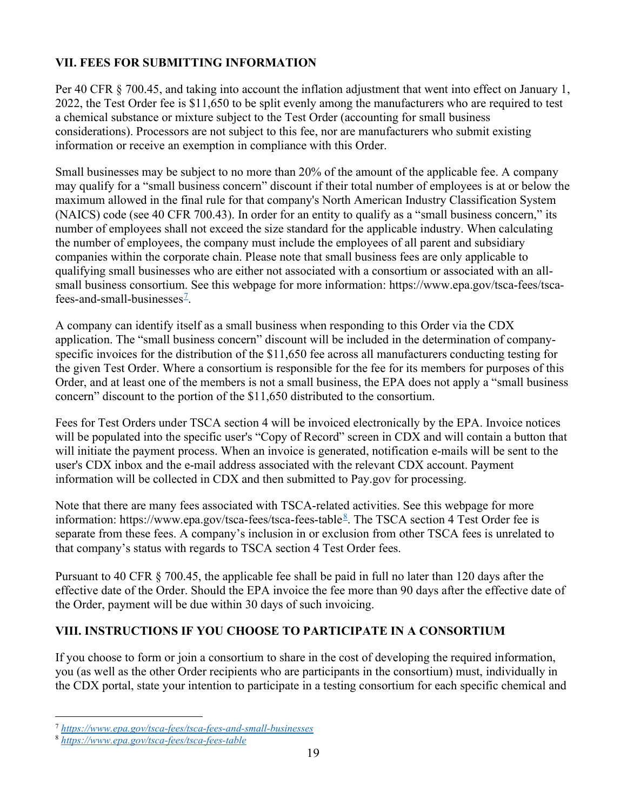# VII. FEES FOR SUBMITTING INFORMATION

Per 40 CFR § 700.45, and taking into account the inflation adjustment that went into effect on January 1, 2022, the Test Order fee is \$11,650 to be split evenly among the manufacturers who are required to test a chemical substance or mixture subject to the Test Order (accounting for small business considerations). Processors are not subject to this fee, nor are manufacturers who submit existing information or receive an exemption in compliance with this Order.

Small businesses may be subject to no more than 20% of the amount of the applicable fee. A company may qualify for a "small business concern" discount if their total number of employees is at or below the maximum allowed in the final rule for that company's North American Industry Classification System (NAICS) code (see 40 CFR 700.43). In order for an entity to qualify as a "small business concern," its number of employees shall not exceed the size standard for the applicable industry. When calculating the number of employees, the company must include the employees of all parent and subsidiary companies within the corporate chain. Please note that small business fees are only applicable to qualifying small businesses who are either not associated with a consortium or associated with an allsmall business consortium. See this webpage for more information: https://www.epa.gov/tsca-fees/tscafees-and-small-businesses<sup> $2$ </sup>.

A company can identify itself as a small business when responding to this Order via the CDX application. The "small business concern" discount will be included in the determination of companyspecific invoices for the distribution of the \$11,650 fee across all manufacturers conducting testing for the given Test Order. Where a consortium is responsible for the fee for its members for purposes of this Order, and at least one of the members is not a small business, the EPA does not apply a "small business concern" discount to the portion of the \$11,650 distributed to the consortium.

Fees for Test Orders under TSCA section 4 will be invoiced electronically by the EPA. Invoice notices will be populated into the specific user's "Copy of Record" screen in CDX and will contain a button that will initiate the payment process. When an invoice is generated, notification e-mails will be sent to the user's CDX inbox and the e-mail address associated with the relevant CDX account. Payment information will be collected in CDX and then submitted to Pay.gov for processing.

Note that there are many fees associated with TSCA-related activities. See this webpage for more information: https://www.epa.gov/tsca-fees/tsca-fees-table<sup>8</sup>. The TSCA section 4 Test Order fee is separate from these fees. A company's inclusion in or exclusion from other TSCA fees is unrelated to that company's status with regards to TSCA section 4 Test Order fees.

Pursuant to 40 CFR § 700.45, the applicable fee shall be paid in full no later than 120 days after the effective date of the Order. Should the EPA invoice the fee more than 90 days after the effective date of the Order, payment will be due within 30 days of such invoicing.

## VIII. INSTRUCTIONS IF YOU CHOOSE TO PARTICIPATE IN A CONSORTIUM

If you choose to form or join a consortium to share in the cost of developing the required information, you (as well as the other Order recipients who are participants in the consortium) must, individually in the CDX portal, state your intention to participate in a testing consortium for each specific chemical and

<sup>&</sup>lt;sup>7</sup> https://www.epa.gov/tsca-fees/tsca-fees-and-small-businesses

<sup>8</sup> https://www.epa.gov/tsca-fees/tsca-fees-table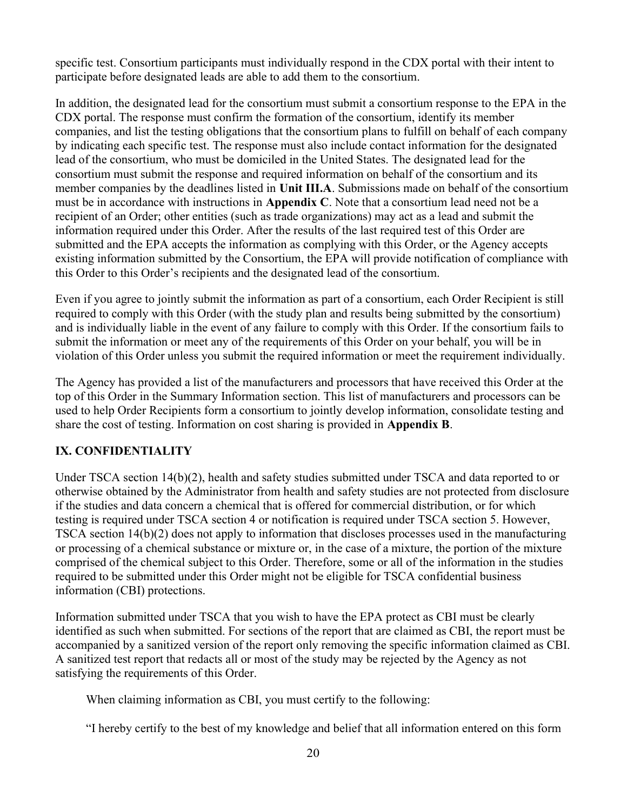specific test. Consortium participants must individually respond in the CDX portal with their intent to participate before designated leads are able to add them to the consortium.

In addition, the designated lead for the consortium must submit a consortium response to the EPA in the CDX portal. The response must confirm the formation of the consortium, identify its member companies, and list the testing obligations that the consortium plans to fulfill on behalf of each company by indicating each specific test. The response must also include contact information for the designated lead of the consortium, who must be domiciled in the United States. The designated lead for the consortium must submit the response and required information on behalf of the consortium and its member companies by the deadlines listed in Unit III.A. Submissions made on behalf of the consortium must be in accordance with instructions in Appendix C. Note that a consortium lead need not be a recipient of an Order; other entities (such as trade organizations) may act as a lead and submit the information required under this Order. After the results of the last required test of this Order are submitted and the EPA accepts the information as complying with this Order, or the Agency accepts existing information submitted by the Consortium, the EPA will provide notification of compliance with this Order to this Order's recipients and the designated lead of the consortium.

Even if you agree to jointly submit the information as part of a consortium, each Order Recipient is still required to comply with this Order (with the study plan and results being submitted by the consortium) and is individually liable in the event of any failure to comply with this Order. If the consortium fails to submit the information or meet any of the requirements of this Order on your behalf, you will be in violation of this Order unless you submit the required information or meet the requirement individually.

The Agency has provided a list of the manufacturers and processors that have received this Order at the top of this Order in the Summary Information section. This list of manufacturers and processors can be used to help Order Recipients form a consortium to jointly develop information, consolidate testing and share the cost of testing. Information on cost sharing is provided in Appendix B.

## IX. CONFIDENTIALITY

Under TSCA section 14(b)(2), health and safety studies submitted under TSCA and data reported to or otherwise obtained by the Administrator from health and safety studies are not protected from disclosure if the studies and data concern a chemical that is offered for commercial distribution, or for which testing is required under TSCA section 4 or notification is required under TSCA section 5. However, TSCA section 14(b)(2) does not apply to information that discloses processes used in the manufacturing or processing of a chemical substance or mixture or, in the case of a mixture, the portion of the mixture comprised of the chemical subject to this Order. Therefore, some or all of the information in the studies required to be submitted under this Order might not be eligible for TSCA confidential business information (CBI) protections.

Information submitted under TSCA that you wish to have the EPA protect as CBI must be clearly identified as such when submitted. For sections of the report that are claimed as CBI, the report must be accompanied by a sanitized version of the report only removing the specific information claimed as CBI. A sanitized test report that redacts all or most of the study may be rejected by the Agency as not satisfying the requirements of this Order.

When claiming information as CBI, you must certify to the following:

"I hereby certify to the best of my knowledge and belief that all information entered on this form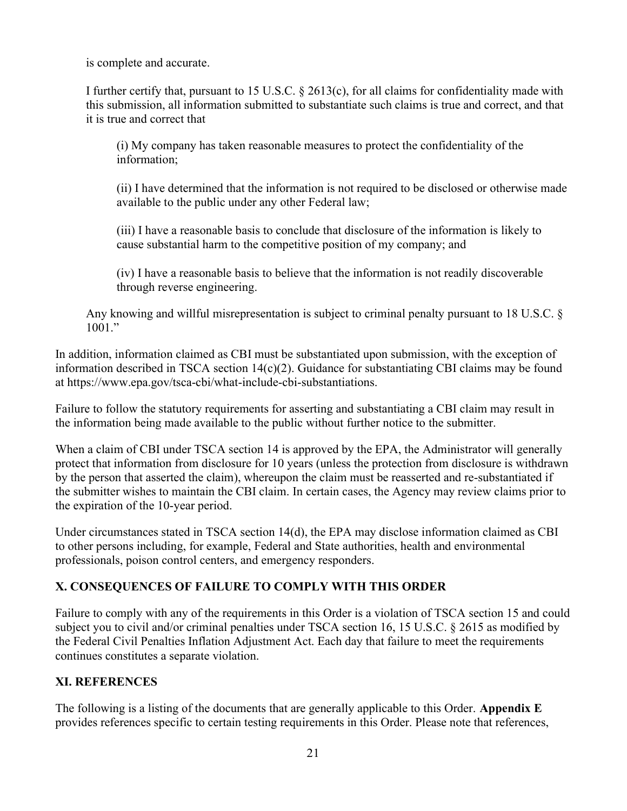is complete and accurate.

I further certify that, pursuant to 15 U.S.C. § 2613(c), for all claims for confidentiality made with this submission, all information submitted to substantiate such claims is true and correct, and that it is true and correct that

(i) My company has taken reasonable measures to protect the confidentiality of the information;

(ii) I have determined that the information is not required to be disclosed or otherwise made available to the public under any other Federal law;

(iii) I have a reasonable basis to conclude that disclosure of the information is likely to cause substantial harm to the competitive position of my company; and

(iv) I have a reasonable basis to believe that the information is not readily discoverable through reverse engineering.

Any knowing and willful misrepresentation is subject to criminal penalty pursuant to 18 U.S.C. § 1001."

In addition, information claimed as CBI must be substantiated upon submission, with the exception of information described in TSCA section 14(c)(2). Guidance for substantiating CBI claims may be found at https://www.epa.gov/tsca-cbi/what-include-cbi-substantiations.

Failure to follow the statutory requirements for asserting and substantiating a CBI claim may result in the information being made available to the public without further notice to the submitter.

When a claim of CBI under TSCA section 14 is approved by the EPA, the Administrator will generally protect that information from disclosure for 10 years (unless the protection from disclosure is withdrawn by the person that asserted the claim), whereupon the claim must be reasserted and re-substantiated if the submitter wishes to maintain the CBI claim. In certain cases, the Agency may review claims prior to the expiration of the 10-year period.

Under circumstances stated in TSCA section 14(d), the EPA may disclose information claimed as CBI to other persons including, for example, Federal and State authorities, health and environmental professionals, poison control centers, and emergency responders.

## X. CONSEQUENCES OF FAILURE TO COMPLY WITH THIS ORDER

Failure to comply with any of the requirements in this Order is a violation of TSCA section 15 and could subject you to civil and/or criminal penalties under TSCA section 16, 15 U.S.C. § 2615 as modified by the Federal Civil Penalties Inflation Adjustment Act. Each day that failure to meet the requirements continues constitutes a separate violation.

#### XI. REFERENCES

The following is a listing of the documents that are generally applicable to this Order. Appendix E provides references specific to certain testing requirements in this Order. Please note that references,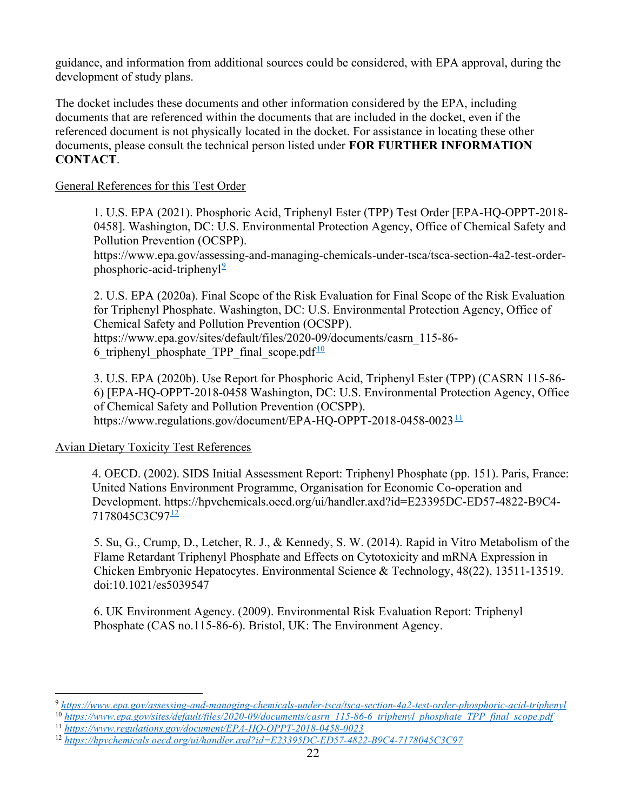guidance, and information from additional sources could be considered, with EPA approval, during the development of study plans.

The docket includes these documents and other information considered by the EPA, including documents that are referenced within the documents that are included in the docket, even if the referenced document is not physically located in the docket. For assistance in locating these other documents, please consult the technical person listed under FOR FURTHER INFORMATION CONTACT.

#### General References for this Test Order

1. U.S. EPA (2021). Phosphoric Acid, Triphenyl Ester (TPP) Test Order [EPA-HQ-OPPT-2018- 0458]. Washington, DC: U.S. Environmental Protection Agency, Office of Chemical Safety and Pollution Prevention (OCSPP).

https://www.epa.gov/assessing-and-managing-chemicals-under-tsca/tsca-section-4a2-test-orderphosphoric-acid-triphenyl $\frac{9}{2}$ 

2. U.S. EPA (2020a). Final Scope of the Risk Evaluation for Final Scope of the Risk Evaluation for Triphenyl Phosphate. Washington, DC: U.S. Environmental Protection Agency, Office of Chemical Safety and Pollution Prevention (OCSPP). https://www.epa.gov/sites/default/files/2020-09/documents/casrn\_115-86- 6 triphenyl phosphate TPP final scope.pdf $\frac{10}{10}$ 

3. U.S. EPA (2020b). Use Report for Phosphoric Acid, Triphenyl Ester (TPP) (CASRN 115-86- 6) [EPA-HQ-OPPT-2018-0458 Washington, DC: U.S. Environmental Protection Agency, Office of Chemical Safety and Pollution Prevention (OCSPP). https://www.regulations.gov/document/EPA-HQ-OPPT-2018-0458-0023 $\frac{11}{10}$ 

#### Avian Dietary Toxicity Test References

4. OECD. (2002). SIDS Initial Assessment Report: Triphenyl Phosphate (pp. 151). Paris, France: United Nations Environment Programme, Organisation for Economic Co-operation and Development. https://hpvchemicals.oecd.org/ui/handler.axd?id=E23395DC-ED57-4822-B9C4- 7178045C3C97<sup>12</sup>

5. Su, G., Crump, D., Letcher, R. J., & Kennedy, S. W. (2014). Rapid in Vitro Metabolism of the Flame Retardant Triphenyl Phosphate and Effects on Cytotoxicity and mRNA Expression in Chicken Embryonic Hepatocytes. Environmental Science & Technology, 48(22), 13511-13519. doi:10.1021/es5039547

6. UK Environment Agency. (2009). Environmental Risk Evaluation Report: Triphenyl Phosphate (CAS no.115-86-6). Bristol, UK: The Environment Agency.

<sup>9</sup> https://www.epa.gov/assessing-and-managing-chemicals-under-tsca/tsca-section-4a2-test-order-phosphoric-acid-triphenyl

 $^{10}$  https://www.epa.gov/sites/default/files/2020-09/documents/casrn\_115-86-6\_triphenyl\_phosphate\_TPP\_final\_scope.pdf

<sup>11</sup> https://www.regulations.gov/document/EPA-HQ-OPPT-2018-0458-0023

<sup>12</sup> https://hpvchemicals.oecd.org/ui/handler.axd?id=E23395DC-ED57-4822-B9C4-7178045C3C97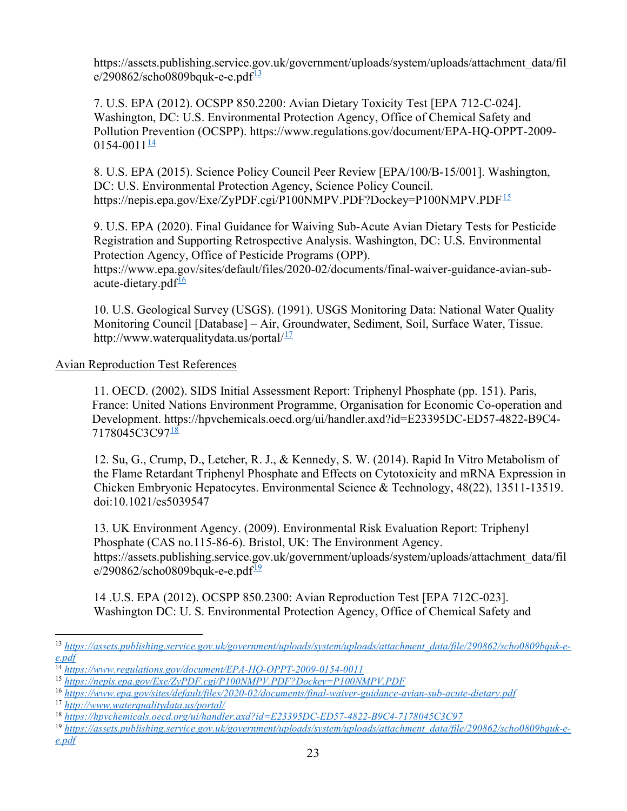https://assets.publishing.service.gov.uk/government/uploads/system/uploads/attachment\_data/fil  $e/290862$ /scho0809bquk-e-e.pdf $\frac{13}{2}$ 

7. U.S. EPA (2012). OCSPP 850.2200: Avian Dietary Toxicity Test [EPA 712-C-024]. Washington, DC: U.S. Environmental Protection Agency, Office of Chemical Safety and Pollution Prevention (OCSPP). https://www.regulations.gov/document/EPA-HQ-OPPT-2009-  $0154 - 0011$ <sup>14</sup>

8. U.S. EPA (2015). Science Policy Council Peer Review [EPA/100/B-15/001]. Washington, DC: U.S. Environmental Protection Agency, Science Policy Council. https://nepis.epa.gov/Exe/ZyPDF.cgi/P100NMPV.PDF?Dockey=P100NMPV.PDF<sup>15</sup>

9. U.S. EPA (2020). Final Guidance for Waiving Sub-Acute Avian Dietary Tests for Pesticide Registration and Supporting Retrospective Analysis. Washington, DC: U.S. Environmental Protection Agency, Office of Pesticide Programs (OPP). https://www.epa.gov/sites/default/files/2020-02/documents/final-waiver-guidance-avian-subacute-dietary.pd $f^{\frac{16}{1}}$ 

10. U.S. Geological Survey (USGS). (1991). USGS Monitoring Data: National Water Quality Monitoring Council [Database] – Air, Groundwater, Sediment, Soil, Surface Water, Tissue. http://www.waterqualitydata.us/portal $1^{17}$ 

#### Avian Reproduction Test References

11. OECD. (2002). SIDS Initial Assessment Report: Triphenyl Phosphate (pp. 151). Paris, France: United Nations Environment Programme, Organisation for Economic Co-operation and Development. https://hpvchemicals.oecd.org/ui/handler.axd?id=E23395DC-ED57-4822-B9C4- 7178045C3C97<sup>18</sup>

12. Su, G., Crump, D., Letcher, R. J., & Kennedy, S. W. (2014). Rapid In Vitro Metabolism of the Flame Retardant Triphenyl Phosphate and Effects on Cytotoxicity and mRNA Expression in Chicken Embryonic Hepatocytes. Environmental Science & Technology, 48(22), 13511-13519. doi:10.1021/es5039547

13. UK Environment Agency. (2009). Environmental Risk Evaluation Report: Triphenyl Phosphate (CAS no.115-86-6). Bristol, UK: The Environment Agency. https://assets.publishing.service.gov.uk/government/uploads/system/uploads/attachment\_data/fil  $e/290862$ /scho0809bquk-e-e.pdf $\frac{19}{2}$ 

14 .U.S. EPA (2012). OCSPP 850.2300: Avian Reproduction Test [EPA 712C-023]. Washington DC: U. S. Environmental Protection Agency, Office of Chemical Safety and

<sup>13</sup> https://assets.publishing.service.gov.uk/government/uploads/system/uploads/attachment\_data/file/290862/scho0809bquk-ee.pdf

 $\frac{14 \text{ https://www.regularions.gov/document/EPA-HO-OPPT-2009-0154-0011}$ 

<sup>15</sup> https://nepis.epa.gov/Exe/ZyPDF.cgi/P100NMPV.PDF?Dockey=P100NMPV.PDF

<sup>16</sup> https://www.epa.gov/sites/default/files/2020-02/documents/final-waiver-guidance-avian-sub-acute-dietary.pdf

<sup>17</sup> http://www.waterqualitydata.us/portal/

<sup>18</sup> https://hpvchemicals.oecd.org/ui/handler.axd?id=E23395DC-ED57-4822-B9C4-7178045C3C97

<sup>&</sup>lt;sup>19</sup> https://assets.publishing.service.gov.uk/government/uploads/system/uploads/attachment\_data/file/290862/scho0809bquk-ee.pdf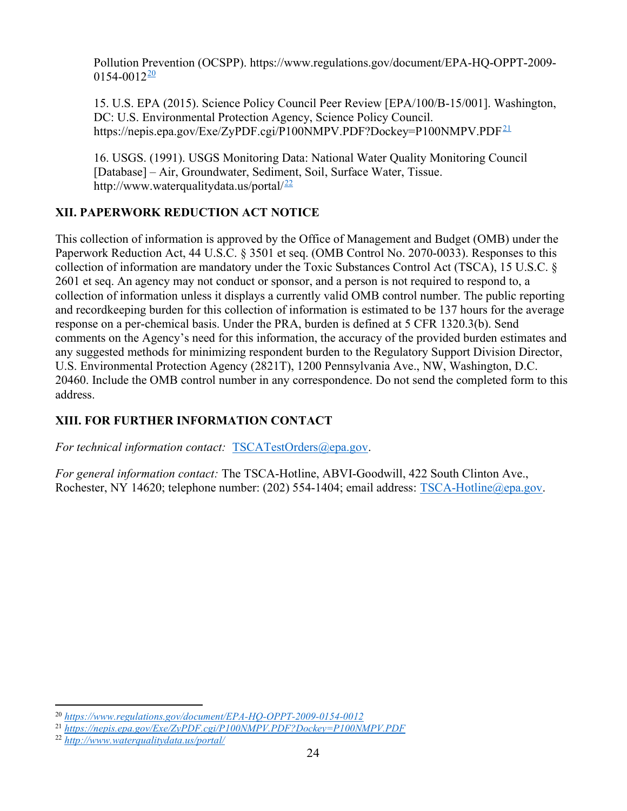Pollution Prevention (OCSPP). https://www.regulations.gov/document/EPA-HQ-OPPT-2009-  $0154 - 0012^{\underline{20}}$ 

15. U.S. EPA (2015). Science Policy Council Peer Review [EPA/100/B-15/001]. Washington, DC: U.S. Environmental Protection Agency, Science Policy Council. https://nepis.epa.gov/Exe/ZyPDF.cgi/P100NMPV.PDF?Dockey=P100NMPV.PDF<sup>21</sup>

16. USGS. (1991). USGS Monitoring Data: National Water Quality Monitoring Council [Database] – Air, Groundwater, Sediment, Soil, Surface Water, Tissue. http://www.waterqualitydata.us/portal/<sup>22</sup>

# XII. PAPERWORK REDUCTION ACT NOTICE

This collection of information is approved by the Office of Management and Budget (OMB) under the Paperwork Reduction Act, 44 U.S.C. § 3501 et seq. (OMB Control No. 2070-0033). Responses to this collection of information are mandatory under the Toxic Substances Control Act (TSCA), 15 U.S.C. § 2601 et seq. An agency may not conduct or sponsor, and a person is not required to respond to, a collection of information unless it displays a currently valid OMB control number. The public reporting and recordkeeping burden for this collection of information is estimated to be 137 hours for the average response on a per-chemical basis. Under the PRA, burden is defined at 5 CFR 1320.3(b). Send comments on the Agency's need for this information, the accuracy of the provided burden estimates and any suggested methods for minimizing respondent burden to the Regulatory Support Division Director, U.S. Environmental Protection Agency (2821T), 1200 Pennsylvania Ave., NW, Washington, D.C. 20460. Include the OMB control number in any correspondence. Do not send the completed form to this address.

# XIII. FOR FURTHER INFORMATION CONTACT

For technical information contact: TSCATestOrders@epa.gov.

For general information contact: The TSCA-Hotline, ABVI-Goodwill, 422 South Clinton Ave., Rochester, NY 14620; telephone number: (202) 554-1404; email address: TSCA-Hotline@epa.gov.

<sup>20</sup> https://www.regulations.gov/document/EPA-HQ-OPPT-2009-0154-0012

<sup>21</sup> https://nepis.epa.gov/Exe/ZyPDF.cgi/P100NMPV.PDF?Dockey=P100NMPV.PDF

<sup>22</sup> http://www.waterqualitydata.us/portal/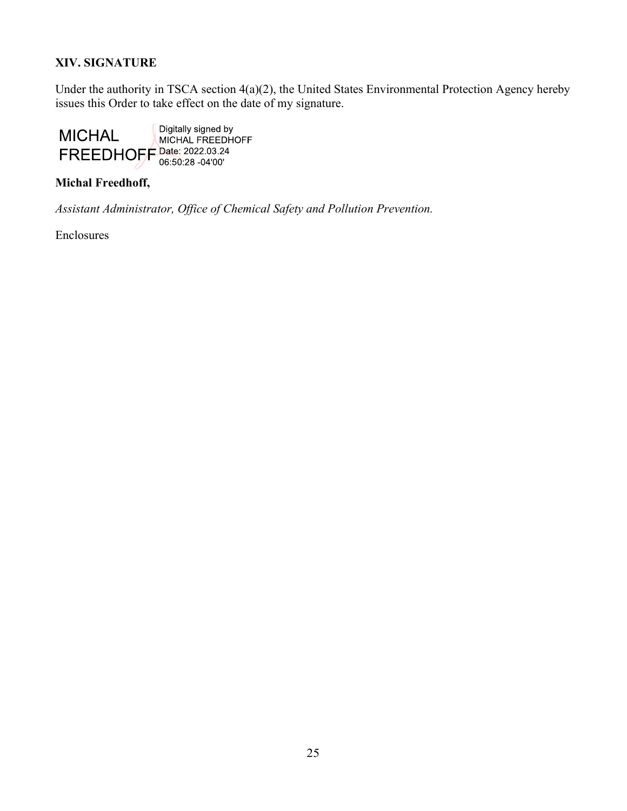### XIV. SIGNATURE

Under the authority in TSCA section 4(a)(2), the United States Environmental Protection Agency hereby issues this Order to take effect on the date of my signature.



#### Michal Freedhoff,

Assistant Administrator, Office of Chemical Safety and Pollution Prevention.

Enclosures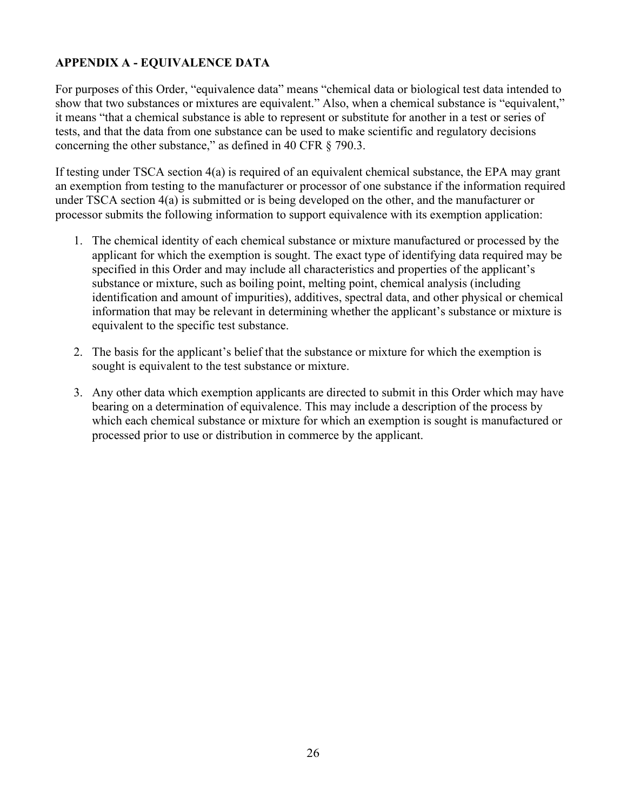## APPENDIX A - EQUIVALENCE DATA

For purposes of this Order, "equivalence data" means "chemical data or biological test data intended to show that two substances or mixtures are equivalent." Also, when a chemical substance is "equivalent," it means "that a chemical substance is able to represent or substitute for another in a test or series of tests, and that the data from one substance can be used to make scientific and regulatory decisions concerning the other substance," as defined in 40 CFR § 790.3.

If testing under TSCA section 4(a) is required of an equivalent chemical substance, the EPA may grant an exemption from testing to the manufacturer or processor of one substance if the information required under TSCA section 4(a) is submitted or is being developed on the other, and the manufacturer or processor submits the following information to support equivalence with its exemption application:

- 1. The chemical identity of each chemical substance or mixture manufactured or processed by the applicant for which the exemption is sought. The exact type of identifying data required may be specified in this Order and may include all characteristics and properties of the applicant's substance or mixture, such as boiling point, melting point, chemical analysis (including identification and amount of impurities), additives, spectral data, and other physical or chemical information that may be relevant in determining whether the applicant's substance or mixture is equivalent to the specific test substance.
- 2. The basis for the applicant's belief that the substance or mixture for which the exemption is sought is equivalent to the test substance or mixture.
- 3. Any other data which exemption applicants are directed to submit in this Order which may have bearing on a determination of equivalence. This may include a description of the process by which each chemical substance or mixture for which an exemption is sought is manufactured or processed prior to use or distribution in commerce by the applicant.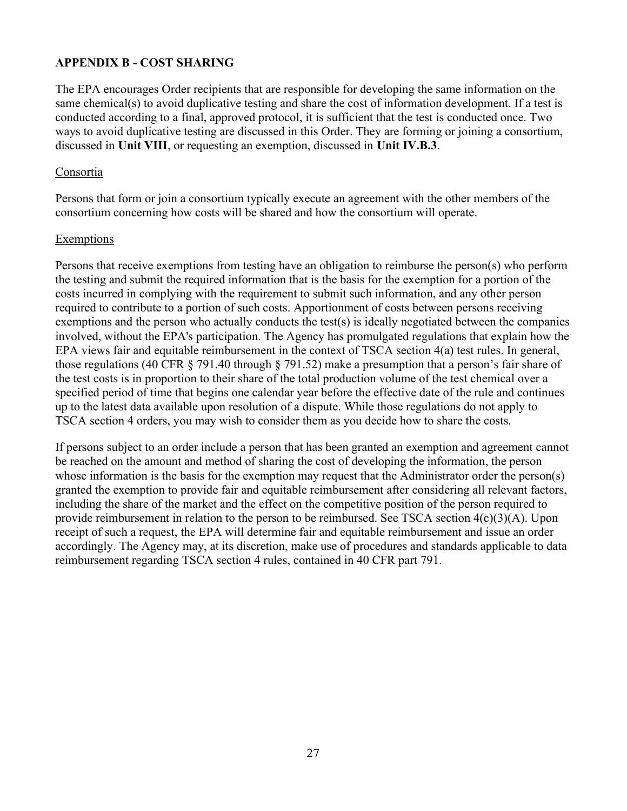### APPENDIX B - COST SHARING

The EPA encourages Order recipients that are responsible for developing the same information on the same chemical(s) to avoid duplicative testing and share the cost of information development. If a test is conducted according to a final, approved protocol, it is sufficient that the test is conducted once. Two ways to avoid duplicative testing are discussed in this Order. They are forming or joining a consortium, discussed in Unit VIII, or requesting an exemption, discussed in Unit IV.B.3.

#### Consortia

Persons that form or join a consortium typically execute an agreement with the other members of the consortium concerning how costs will be shared and how the consortium will operate.

#### Exemptions

Persons that receive exemptions from testing have an obligation to reimburse the person(s) who perform the testing and submit the required information that is the basis for the exemption for a portion of the costs incurred in complying with the requirement to submit such information, and any other person required to contribute to a portion of such costs. Apportionment of costs between persons receiving exemptions and the person who actually conducts the test(s) is ideally negotiated between the companies involved, without the EPA's participation. The Agency has promulgated regulations that explain how the EPA views fair and equitable reimbursement in the context of TSCA section 4(a) test rules. In general, those regulations (40 CFR § 791.40 through § 791.52) make a presumption that a person's fair share of the test costs is in proportion to their share of the total production volume of the test chemical over a specified period of time that begins one calendar year before the effective date of the rule and continues up to the latest data available upon resolution of a dispute. While those regulations do not apply to TSCA section 4 orders, you may wish to consider them as you decide how to share the costs.

If persons subject to an order include a person that has been granted an exemption and agreement cannot be reached on the amount and method of sharing the cost of developing the information, the person whose information is the basis for the exemption may request that the Administrator order the person(s) granted the exemption to provide fair and equitable reimbursement after considering all relevant factors, including the share of the market and the effect on the competitive position of the person required to provide reimbursement in relation to the person to be reimbursed. See TSCA section 4(c)(3)(A). Upon receipt of such a request, the EPA will determine fair and equitable reimbursement and issue an order accordingly. The Agency may, at its discretion, make use of procedures and standards applicable to data reimbursement regarding TSCA section 4 rules, contained in 40 CFR part 791.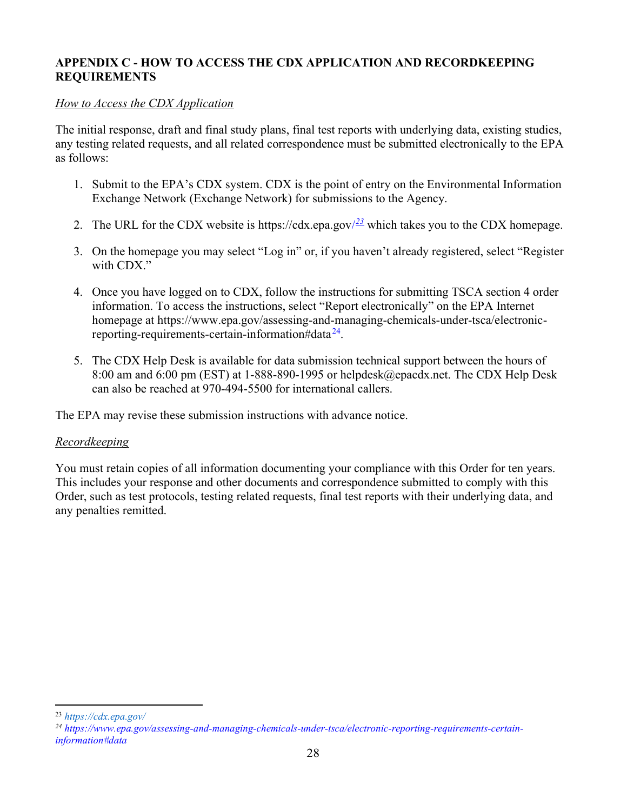### APPENDIX C - HOW TO ACCESS THE CDX APPLICATION AND RECORDKEEPING REQUIREMENTS

#### How to Access the CDX Application

The initial response, draft and final study plans, final test reports with underlying data, existing studies, any testing related requests, and all related correspondence must be submitted electronically to the EPA as follows:

- 1. Submit to the EPA's CDX system. CDX is the point of entry on the Environmental Information Exchange Network (Exchange Network) for submissions to the Agency.
- 2. The URL for the CDX website is https://cdx.epa.gov/ $\frac{23}{2}$  which takes you to the CDX homepage.
- 3. On the homepage you may select "Log in" or, if you haven't already registered, select "Register with CDX."
- 4. Once you have logged on to CDX, follow the instructions for submitting TSCA section 4 order information. To access the instructions, select "Report electronically" on the EPA Internet homepage at https://www.epa.gov/assessing-and-managing-chemicals-under-tsca/electronicreporting-requirements-certain-information#data<sup>24</sup>.
- 5. The CDX Help Desk is available for data submission technical support between the hours of 8:00 am and 6:00 pm (EST) at 1-888-890-1995 or helpdesk@epacdx.net. The CDX Help Desk can also be reached at 970-494-5500 for international callers.

The EPA may revise these submission instructions with advance notice.

#### Recordkeeping

You must retain copies of all information documenting your compliance with this Order for ten years. This includes your response and other documents and correspondence submitted to comply with this Order, such as test protocols, testing related requests, final test reports with their underlying data, and any penalties remitted.

<sup>23</sup> https://cdx.epa.gov/

<sup>24</sup> https://www.epa.gov/assessing-and-managing-chemicals-under-tsca/electronic-reporting-requirements-certaininformation#data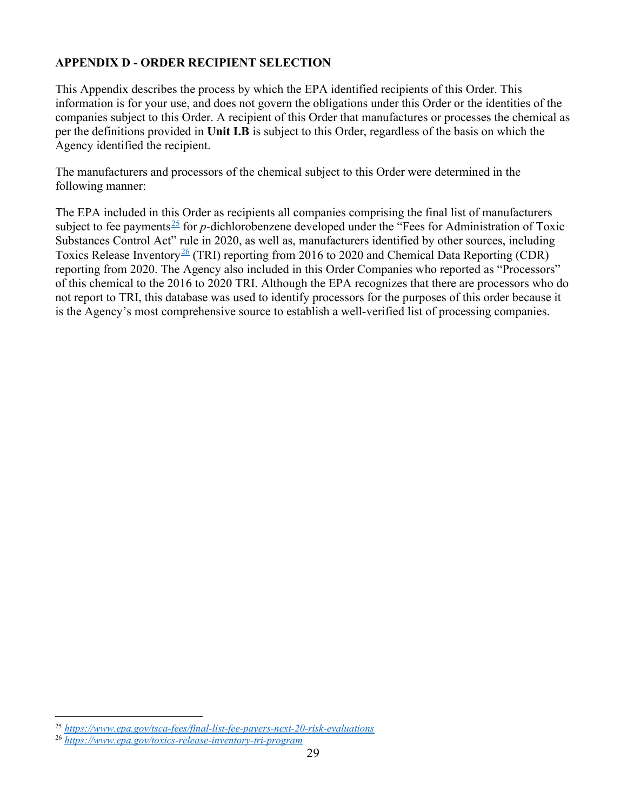## APPENDIX D - ORDER RECIPIENT SELECTION

This Appendix describes the process by which the EPA identified recipients of this Order. This information is for your use, and does not govern the obligations under this Order or the identities of the companies subject to this Order. A recipient of this Order that manufactures or processes the chemical as per the definitions provided in Unit I.B is subject to this Order, regardless of the basis on which the Agency identified the recipient.

The manufacturers and processors of the chemical subject to this Order were determined in the following manner:

The EPA included in this Order as recipients all companies comprising the final list of manufacturers subject to fee payments<sup>25</sup> for *p*-dichlorobenzene developed under the "Fees for Administration of Toxic Substances Control Act" rule in 2020, as well as, manufacturers identified by other sources, including Toxics Release Inventory<sup>26</sup> (TRI) reporting from 2016 to 2020 and Chemical Data Reporting (CDR) reporting from 2020. The Agency also included in this Order Companies who reported as "Processors" of this chemical to the 2016 to 2020 TRI. Although the EPA recognizes that there are processors who do not report to TRI, this database was used to identify processors for the purposes of this order because it is the Agency's most comprehensive source to establish a well-verified list of processing companies.

<sup>&</sup>lt;sup>25</sup> https://www.epa.gov/tsca-fees/final-list-fee-payers-next-20-risk-evaluations

<sup>26</sup> https://www.epa.gov/toxics-release-inventory-tri-program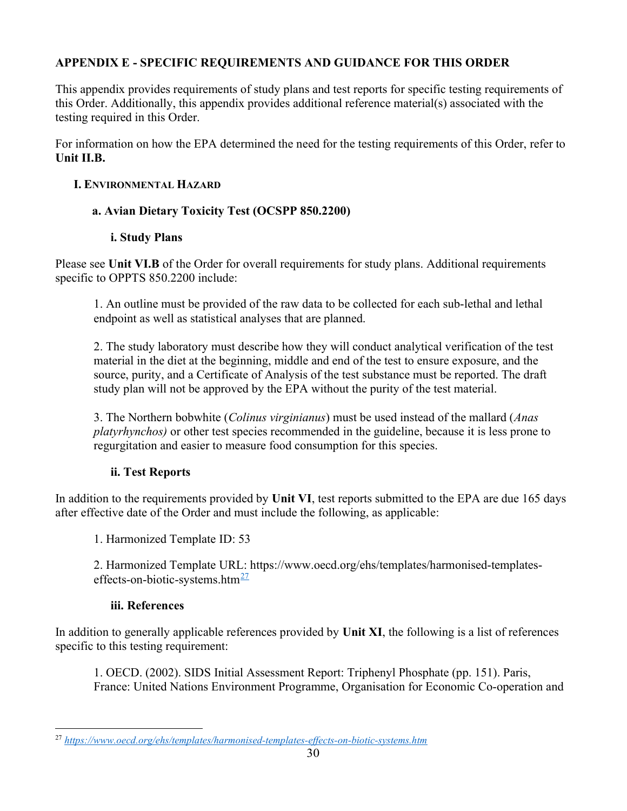# APPENDIX E - SPECIFIC REQUIREMENTS AND GUIDANCE FOR THIS ORDER

This appendix provides requirements of study plans and test reports for specific testing requirements of this Order. Additionally, this appendix provides additional reference material(s) associated with the testing required in this Order.

For information on how the EPA determined the need for the testing requirements of this Order, refer to Unit II.B.

### I. ENVIRONMENTAL HAZARD

### a. Avian Dietary Toxicity Test (OCSPP 850.2200)

### i. Study Plans

Please see Unit VI.B of the Order for overall requirements for study plans. Additional requirements specific to OPPTS 850.2200 include:

1. An outline must be provided of the raw data to be collected for each sub-lethal and lethal endpoint as well as statistical analyses that are planned.

2. The study laboratory must describe how they will conduct analytical verification of the test material in the diet at the beginning, middle and end of the test to ensure exposure, and the source, purity, and a Certificate of Analysis of the test substance must be reported. The draft study plan will not be approved by the EPA without the purity of the test material.

3. The Northern bobwhite (*Colinus virginianus*) must be used instead of the mallard (*Anas*) platyrhynchos) or other test species recommended in the guideline, because it is less prone to regurgitation and easier to measure food consumption for this species.

## ii. Test Reports

In addition to the requirements provided by Unit VI, test reports submitted to the EPA are due 165 days after effective date of the Order and must include the following, as applicable:

1. Harmonized Template ID: 53

2. Harmonized Template URL: https://www.oecd.org/ehs/templates/harmonised-templateseffects-on-biotic-systems.htm $\frac{27}{2}$ 

#### iii. References

In addition to generally applicable references provided by Unit XI, the following is a list of references specific to this testing requirement:

1. OECD. (2002). SIDS Initial Assessment Report: Triphenyl Phosphate (pp. 151). Paris, France: United Nations Environment Programme, Organisation for Economic Co-operation and

<sup>27</sup> https://www.oecd.org/ehs/templates/harmonised-templates-effects-on-biotic-systems.htm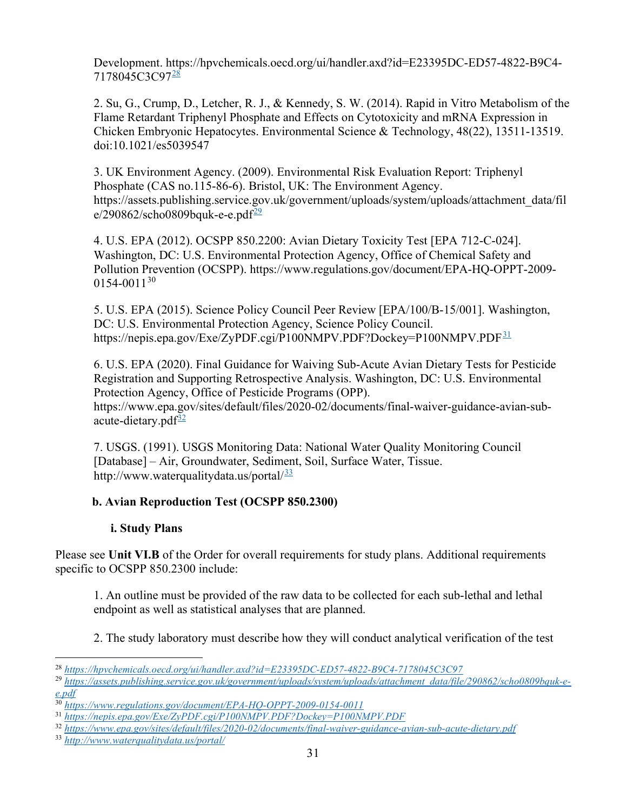Development. https://hpvchemicals.oecd.org/ui/handler.axd?id=E23395DC-ED57-4822-B9C4- 7178045C3C97<sup>28</sup>

2. Su, G., Crump, D., Letcher, R. J., & Kennedy, S. W. (2014). Rapid in Vitro Metabolism of the Flame Retardant Triphenyl Phosphate and Effects on Cytotoxicity and mRNA Expression in Chicken Embryonic Hepatocytes. Environmental Science & Technology, 48(22), 13511-13519. doi:10.1021/es5039547

3. UK Environment Agency. (2009). Environmental Risk Evaluation Report: Triphenyl Phosphate (CAS no.115-86-6). Bristol, UK: The Environment Agency. https://assets.publishing.service.gov.uk/government/uploads/system/uploads/attachment\_data/fil  $e/290862$ /scho0809bquk-e-e.pdf $\frac{29}{2}$ 

4. U.S. EPA (2012). OCSPP 850.2200: Avian Dietary Toxicity Test [EPA 712-C-024]. Washington, DC: U.S. Environmental Protection Agency, Office of Chemical Safety and Pollution Prevention (OCSPP). https://www.regulations.gov/document/EPA-HQ-OPPT-2009-  $0154 - 0011^{30}$ 

5. U.S. EPA (2015). Science Policy Council Peer Review [EPA/100/B-15/001]. Washington, DC: U.S. Environmental Protection Agency, Science Policy Council. https://nepis.epa.gov/Exe/ZyPDF.cgi/P100NMPV.PDF?Dockey=P100NMPV.PDF $\frac{31}{2}$ 

6. U.S. EPA (2020). Final Guidance for Waiving Sub-Acute Avian Dietary Tests for Pesticide Registration and Supporting Retrospective Analysis. Washington, DC: U.S. Environmental Protection Agency, Office of Pesticide Programs (OPP). https://www.epa.gov/sites/default/files/2020-02/documents/final-waiver-guidance-avian-subacute-dietary.pd $f^{\frac{32}{2}}$ 

7. USGS. (1991). USGS Monitoring Data: National Water Quality Monitoring Council [Database] – Air, Groundwater, Sediment, Soil, Surface Water, Tissue. http://www.waterqualitydata.us/portal/<sup>33</sup>

## b. Avian Reproduction Test (OCSPP 850.2300)

## i. Study Plans

Please see Unit VI.B of the Order for overall requirements for study plans. Additional requirements specific to OCSPP 850.2300 include:

1. An outline must be provided of the raw data to be collected for each sub-lethal and lethal endpoint as well as statistical analyses that are planned.

2. The study laboratory must describe how they will conduct analytical verification of the test

<sup>28</sup> https://hpvchemicals.oecd.org/ui/handler.axd?id=E23395DC-ED57-4822-B9C4-7178045C3C97

<sup>&</sup>lt;sup>29</sup> https://assets.publishing.service.gov.uk/government/uploads/system/uploads/attachment\_data/file/290862/scho0809bquk-ee.pdf

<sup>30</sup> https://www.regulations.gov/document/EPA-HQ-OPPT-2009-0154-0011

<sup>31</sup> https://nepis.epa.gov/Exe/ZyPDF.cgi/P100NMPV.PDF?Dockey=P100NMPV.PDF

<sup>32</sup> https://www.epa.gov/sites/default/files/2020-02/documents/final-waiver-guidance-avian-sub-acute-dietary.pdf

<sup>33</sup> http://www.waterqualitydata.us/portal/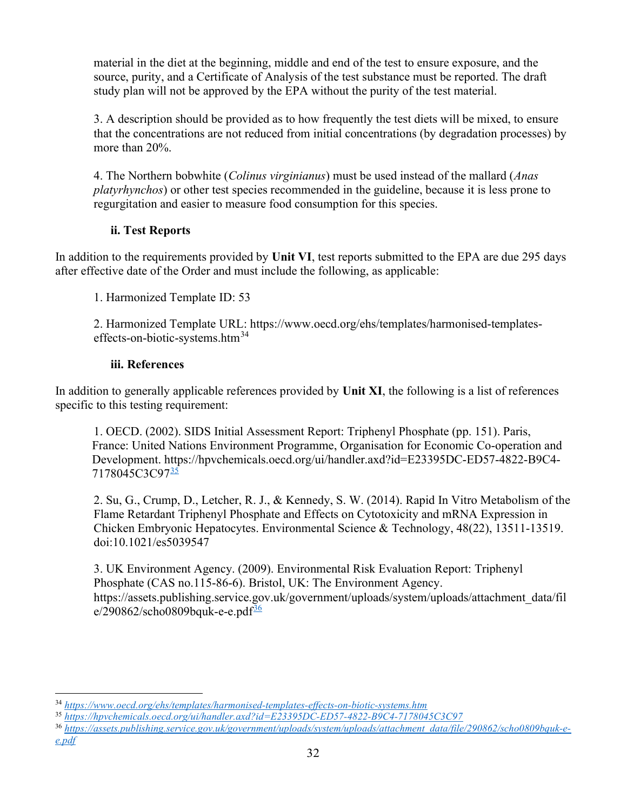material in the diet at the beginning, middle and end of the test to ensure exposure, and the source, purity, and a Certificate of Analysis of the test substance must be reported. The draft study plan will not be approved by the EPA without the purity of the test material.

3. A description should be provided as to how frequently the test diets will be mixed, to ensure that the concentrations are not reduced from initial concentrations (by degradation processes) by more than 20%.

4. The Northern bobwhite (*Colinus virginianus*) must be used instead of the mallard (*Anas*) platyrhynchos) or other test species recommended in the guideline, because it is less prone to regurgitation and easier to measure food consumption for this species.

## ii. Test Reports

In addition to the requirements provided by Unit VI, test reports submitted to the EPA are due 295 days after effective date of the Order and must include the following, as applicable:

1. Harmonized Template ID: 53

2. Harmonized Template URL: https://www.oecd.org/ehs/templates/harmonised-templateseffects-on-biotic-systems.htm<sup>34</sup>

### iii. References

In addition to generally applicable references provided by Unit XI, the following is a list of references specific to this testing requirement:

1. OECD. (2002). SIDS Initial Assessment Report: Triphenyl Phosphate (pp. 151). Paris, France: United Nations Environment Programme, Organisation for Economic Co-operation and Development. https://hpvchemicals.oecd.org/ui/handler.axd?id=E23395DC-ED57-4822-B9C4- 7178045C3C9735

2. Su, G., Crump, D., Letcher, R. J., & Kennedy, S. W. (2014). Rapid In Vitro Metabolism of the Flame Retardant Triphenyl Phosphate and Effects on Cytotoxicity and mRNA Expression in Chicken Embryonic Hepatocytes. Environmental Science & Technology, 48(22), 13511-13519. doi:10.1021/es5039547

3. UK Environment Agency. (2009). Environmental Risk Evaluation Report: Triphenyl Phosphate (CAS no.115-86-6). Bristol, UK: The Environment Agency. https://assets.publishing.service.gov.uk/government/uploads/system/uploads/attachment\_data/fil  $e/290862$ /scho0809bquk-e-e.pdf $\frac{36}{2}$ 

36 https://assets.publishing.service.gov.uk/government/uploads/system/uploads/attachment\_data/file/290862/scho0809bquk-e $e.pdf$ 

<sup>34</sup> https://www.oecd.org/ehs/templates/harmonised-templates-effects-on-biotic-systems.htm

<sup>35</sup> https://hpvchemicals.oecd.org/ui/handler.axd?id=E23395DC-ED57-4822-B9C4-7178045C3C97